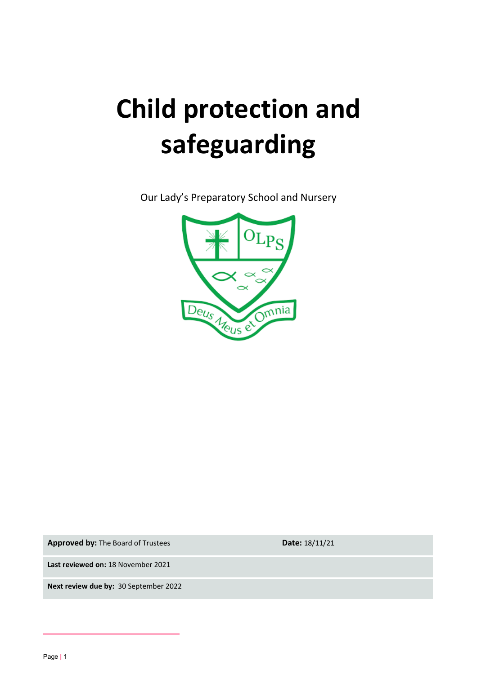# **Child protection and safeguarding**

Our Lady's Preparatory School and Nursery



**Approved by:** The Board of Trustees **Date:** 18/11/21

**Last reviewed on:** 18 November 2021

**Next review due by:** 30 September 2022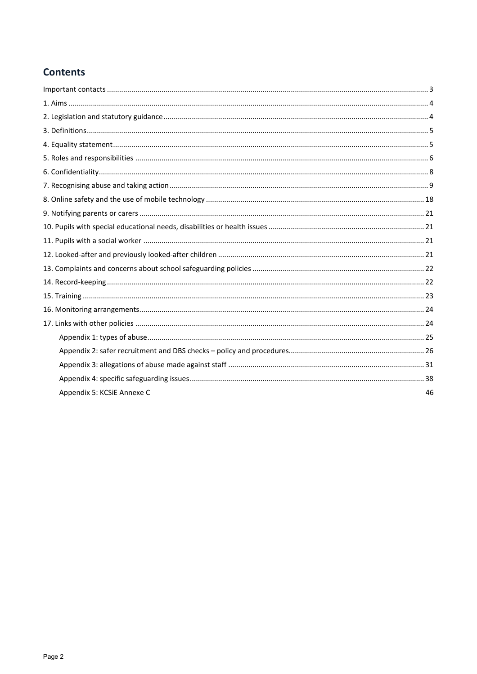## **Contents**

| Appendix 5: KCSiE Annexe C | 46 |
|----------------------------|----|
|                            |    |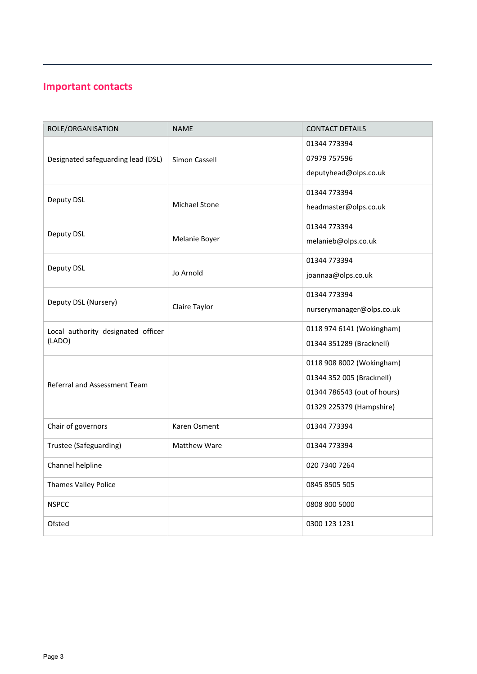## <span id="page-2-0"></span>**Important contacts**

| ROLE/ORGANISATION                            | <b>NAME</b>          | <b>CONTACT DETAILS</b>      |
|----------------------------------------------|----------------------|-----------------------------|
| Designated safeguarding lead (DSL)           | Simon Cassell        | 01344 773394                |
|                                              |                      | 07979 757596                |
|                                              |                      | deputyhead@olps.co.uk       |
| Deputy DSL                                   | <b>Michael Stone</b> | 01344 773394                |
|                                              |                      | headmaster@olps.co.uk       |
| Deputy DSL                                   | Melanie Boyer        | 01344 773394                |
|                                              |                      | melanieb@olps.co.uk         |
| Deputy DSL                                   | Jo Arnold            | 01344 773394                |
|                                              |                      | joannaa@olps.co.uk          |
| Deputy DSL (Nursery)                         | Claire Taylor        | 01344 773394                |
|                                              |                      | nurserymanager@olps.co.uk   |
| Local authority designated officer<br>(LADO) |                      | 0118 974 6141 (Wokingham)   |
|                                              |                      | 01344 351289 (Bracknell)    |
| Referral and Assessment Team                 |                      | 0118 908 8002 (Wokingham)   |
|                                              |                      | 01344 352 005 (Bracknell)   |
|                                              |                      | 01344 786543 (out of hours) |
|                                              |                      | 01329 225379 (Hampshire)    |
| Chair of governors                           | Karen Osment         | 01344 773394                |
| Trustee (Safeguarding)                       | Matthew Ware         | 01344 773394                |
| Channel helpline                             |                      | 020 7340 7264               |
| Thames Valley Police                         |                      | 0845 8505 505               |
| <b>NSPCC</b>                                 |                      | 0808 800 5000               |
| Ofsted                                       |                      | 0300 123 1231               |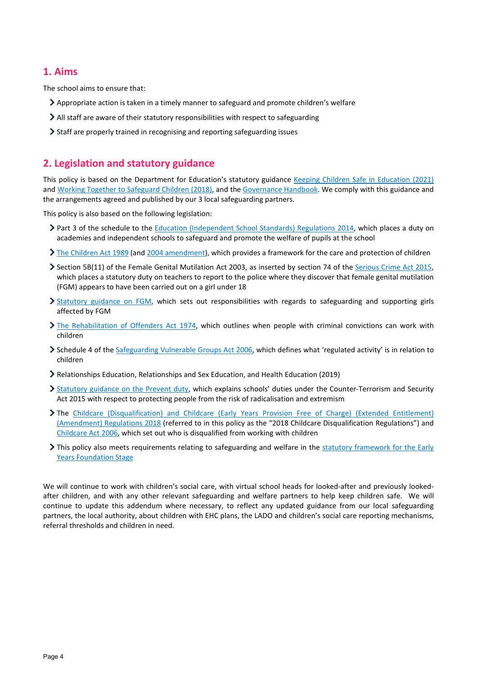## <span id="page-3-0"></span>**1. Aims**

The school aims to ensure that:

- Appropriate action is taken in a timely manner to safeguard and promote children's welfare
- All staff are aware of their statutory responsibilities with respect to safeguarding
- Staff are properly trained in recognising and reporting safeguarding issues

## <span id="page-3-1"></span>**2. Legislation and statutory guidance**

This policy is based on the Department for Education's statutory guidance [Keeping Children Safe in Education \(2021\)](https://www.gov.uk/government/publications/keeping-children-safe-in-education--2) an[d Working Together to Safeguard Children \(2018\),](https://www.gov.uk/government/publications/working-together-to-safeguard-children--2) and the [Governance Handbook.](https://www.gov.uk/government/publications/governance-handbook) We comply with this guidance and the arrangements agreed and published by our 3 local safeguarding partners.

This policy is also based on the following legislation:

- ▶ Part 3 of the schedule to th[e Education \(Independent School Standards\) Regulations 2014,](http://www.legislation.gov.uk/uksi/2014/3283/schedule/part/3/made) which places a duty on academies and independent schools to safeguard and promote the welfare of pupils at the school
- [The Children Act 1989](http://www.legislation.gov.uk/ukpga/1989/41) (an[d 2004 amendment\)](http://www.legislation.gov.uk/ukpga/2004/31/contents), which provides a framework for the care and protection of children
- $\geq$  Section 5B(11) of the Female Genital Mutilation Act 2003, as inserted by section 74 of the [Serious Crime Act 2015,](http://www.legislation.gov.uk/ukpga/2015/9/part/5/crossheading/female-genital-mutilation) which places a statutory duty on teachers to report to the police where they discover that female genital mutilation (FGM) appears to have been carried out on a girl under 18
- > [Statutory guidance on FGM,](https://www.gov.uk/government/publications/multi-agency-statutory-guidance-on-female-genital-mutilation) which sets out responsibilities with regards to safeguarding and supporting girls affected by FGM
- [The Rehabilitation of Offenders Act 1974,](http://www.legislation.gov.uk/ukpga/1974/53) which outlines when people with criminal convictions can work with children
- Schedule 4 of th[e Safeguarding Vulnerable Groups Act 2006,](http://www.legislation.gov.uk/ukpga/2006/47/schedule/4) which defines what 'regulated activity' is in relation to children
- Relationships Education, Relationships and Sex Education, and Health Education (2019)
- > [Statutory guidance on the Prevent duty,](https://www.gov.uk/government/publications/prevent-duty-guidance) which explains schools' duties under the Counter-Terrorism and Security Act 2015 with respect to protecting people from the risk of radicalisation and extremism
- The [Childcare \(Disqualification\) and Childcare \(Early Years Provision Free of Charge\) \(Extended Entitlement\)](http://www.legislation.gov.uk/uksi/2018/794/contents/made)  [\(Amendment\) Regulations 2018](http://www.legislation.gov.uk/uksi/2018/794/contents/made) (referred to in this policy as the "2018 Childcare Disqualification Regulations") and [Childcare Act 2006,](http://www.legislation.gov.uk/ukpga/2006/21/contents) which set out who is disqualified from working with children
- This policy also meets requirements relating to safeguarding and welfare in the statutory framework for the Early [Years Foundation Stage](https://www.gov.uk/government/publications/early-years-foundation-stage-framework--2)

We will continue to work with children's social care, with virtual school heads for looked-after and previously lookedafter children, and with any other relevant safeguarding and welfare partners to help keep children safe. We will continue to update this addendum where necessary, to reflect any updated guidance from our local safeguarding partners, the local authority, about children with EHC plans, the LADO and children's social care reporting mechanisms, referral thresholds and children in need.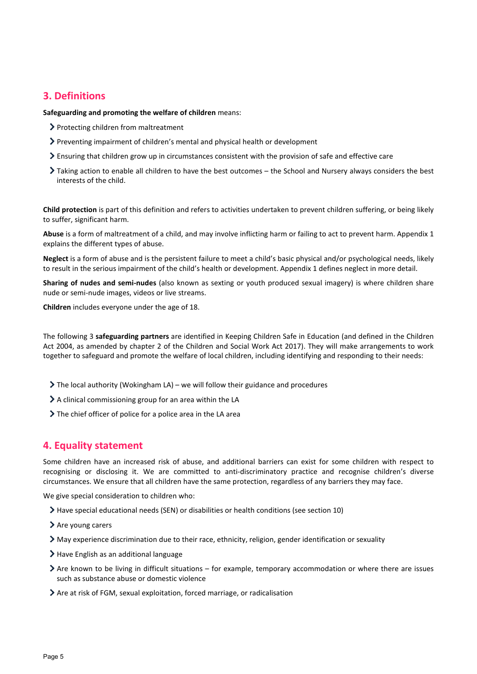## <span id="page-4-0"></span>**3. Definitions**

**Safeguarding and promoting the welfare of children** means:

- > Protecting children from maltreatment
- Preventing impairment of children's mental and physical health or development
- Ensuring that children grow up in circumstances consistent with the provision of safe and effective care
- Taking action to enable all children to have the best outcomes the School and Nursery always considers the best interests of the child.

**Child protection** is part of this definition and refers to activities undertaken to prevent children suffering, or being likely to suffer, significant harm.

**Abuse** is a form of maltreatment of a child, and may involve inflicting harm or failing to act to prevent harm. Appendix 1 explains the different types of abuse.

**Neglect** is a form of abuse and is the persistent failure to meet a child's basic physical and/or psychological needs, likely to result in the serious impairment of the child's health or development. Appendix 1 defines neglect in more detail.

**Sharing of nudes and semi-nudes** (also known as sexting or youth produced sexual imagery) is where children share nude or semi-nude images, videos or live streams.

**Children** includes everyone under the age of 18.

The following 3 **safeguarding partners** are identified in Keeping Children Safe in Education (and defined in the Children Act 2004, as amended by chapter 2 of the Children and Social Work Act 2017). They will make arrangements to work together to safeguard and promote the welfare of local children, including identifying and responding to their needs:

- $\triangleright$  The local authority (Wokingham LA) we will follow their guidance and procedures
- $\geq$  A clinical commissioning group for an area within the LA
- > The chief officer of police for a police area in the LA area

## <span id="page-4-1"></span>**4. Equality statement**

Some children have an increased risk of abuse, and additional barriers can exist for some children with respect to recognising or disclosing it. We are committed to anti-discriminatory practice and recognise children's diverse circumstances. We ensure that all children have the same protection, regardless of any barriers they may face.

We give special consideration to children who:

- Have special educational needs (SEN) or disabilities or health conditions (see section 10)
- > Are young carers
- May experience discrimination due to their race, ethnicity, religion, gender identification or sexuality
- > Have English as an additional language
- Are known to be living in difficult situations for example, temporary accommodation or where there are issues such as substance abuse or domestic violence
- Are at risk of FGM, sexual exploitation, forced marriage, or radicalisation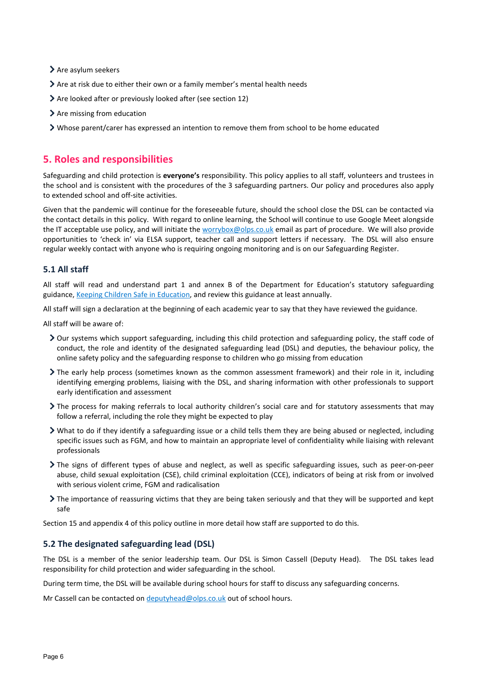- $\blacktriangleright$  Are asylum seekers
- Are at risk due to either their own or a family member's mental health needs
- Are looked after or previously looked after (see section 12)
- > Are missing from education
- Whose parent/carer has expressed an intention to remove them from school to be home educated

## <span id="page-5-0"></span>**5. Roles and responsibilities**

Safeguarding and child protection is **everyone's** responsibility. This policy applies to all staff, volunteers and trustees in the school and is consistent with the procedures of the 3 safeguarding partners. Our policy and procedures also apply to extended school and off-site activities.

Given that the pandemic will continue for the foreseeable future, should the school close the DSL can be contacted via the contact details in this policy. With regard to online learning, the School will continue to use Google Meet alongside the IT acceptable use policy, and will initiate the [worrybox@olps.co.uk](mailto:worrybox@olps.co.uk) email as part of procedure. We will also provide opportunities to 'check in' via ELSA support, teacher call and support letters if necessary. The DSL will also ensure regular weekly contact with anyone who is requiring ongoing monitoring and is on our Safeguarding Register.

#### **5.1 All staff**

All staff will read and understand part 1 and annex B of the Department for Education's statutory safeguarding guidance[, Keeping Children Safe in Education,](https://www.gov.uk/government/publications/keeping-children-safe-in-education--2) and review this guidance at least annually.

All staff will sign a declaration at the beginning of each academic year to say that they have reviewed the guidance.

All staff will be aware of:

- Our systems which support safeguarding, including this child protection and safeguarding policy, the staff code of conduct, the role and identity of the designated safeguarding lead (DSL) and deputies, the behaviour policy, the online safety policy and the safeguarding response to children who go missing from education
- The early help process (sometimes known as the common assessment framework) and their role in it, including identifying emerging problems, liaising with the DSL, and sharing information with other professionals to support early identification and assessment
- The process for making referrals to local authority children's social care and for statutory assessments that may follow a referral, including the role they might be expected to play
- What to do if they identify a safeguarding issue or a child tells them they are being abused or neglected, including specific issues such as FGM, and how to maintain an appropriate level of confidentiality while liaising with relevant professionals
- The signs of different types of abuse and neglect, as well as specific safeguarding issues, such as peer-on-peer abuse, child sexual exploitation (CSE), child criminal exploitation (CCE), indicators of being at risk from or involved with serious violent crime, FGM and radicalisation
- The importance of reassuring victims that they are being taken seriously and that they will be supported and kept safe

Section 15 and appendix 4 of this policy outline in more detail how staff are supported to do this.

#### **5.2 The designated safeguarding lead (DSL)**

The DSL is a member of the senior leadership team. Our DSL is Simon Cassell (Deputy Head). The DSL takes lead responsibility for child protection and wider safeguarding in the school.

During term time, the DSL will be available during school hours for staff to discuss any safeguarding concerns.

Mr Cassell can be contacted o[n deputyhead@olps.co.uk](mailto:deputyhead@olps.co.uk) out of school hours.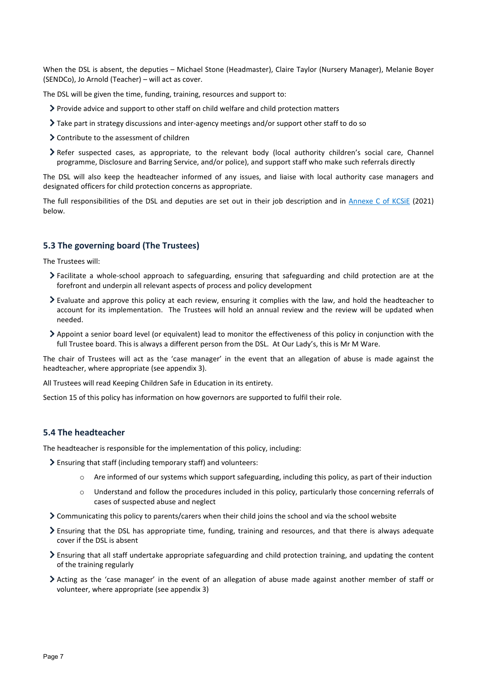When the DSL is absent, the deputies – Michael Stone (Headmaster), Claire Taylor (Nursery Manager), Melanie Boyer (SENDCo), Jo Arnold (Teacher) – will act as cover.

The DSL will be given the time, funding, training, resources and support to:

- $\triangleright$  Provide advice and support to other staff on child welfare and child protection matters
- Take part in strategy discussions and inter-agency meetings and/or support other staff to do so
- Contribute to the assessment of children
- Refer suspected cases, as appropriate, to the relevant body (local authority children's social care, Channel programme, Disclosure and Barring Service, and/or police), and support staff who make such referrals directly

The DSL will also keep the headteacher informed of any issues, and liaise with local authority case managers and designated officers for child protection concerns as appropriate.

The full responsibilities of the DSL and deputies are set out in their job description and in [Annexe C of KCSiE](https://assets.publishing.service.gov.uk/government/uploads/system/uploads/attachment_data/file/1021914/KCSIE_2021_September_guidance.pdf) (2021) below.

#### **5.3 The governing board (The Trustees)**

The Trustees will:

- Facilitate a whole-school approach to safeguarding, ensuring that safeguarding and child protection are at the forefront and underpin all relevant aspects of process and policy development
- Evaluate and approve this policy at each review, ensuring it complies with the law, and hold the headteacher to account for its implementation. The Trustees will hold an annual review and the review will be updated when needed.
- Appoint a senior board level (or equivalent) lead to monitor the effectiveness of this policy in conjunction with the full Trustee board. This is always a different person from the DSL. At Our Lady's, this is Mr M Ware.

The chair of Trustees will act as the 'case manager' in the event that an allegation of abuse is made against the headteacher, where appropriate (see appendix 3).

All Trustees will read Keeping Children Safe in Education in its entirety.

Section 15 of this policy has information on how governors are supported to fulfil their role.

## **5.4 The headteacher**

The headteacher is responsible for the implementation of this policy, including:

- Ensuring that staff (including temporary staff) and volunteers:
	- o Are informed of our systems which support safeguarding, including this policy, as part of their induction
	- o Understand and follow the procedures included in this policy, particularly those concerning referrals of cases of suspected abuse and neglect
- Communicating this policy to parents/carers when their child joins the school and via the school website
- Ensuring that the DSL has appropriate time, funding, training and resources, and that there is always adequate cover if the DSL is absent
- Ensuring that all staff undertake appropriate safeguarding and child protection training, and updating the content of the training regularly
- Acting as the 'case manager' in the event of an allegation of abuse made against another member of staff or volunteer, where appropriate (see appendix 3)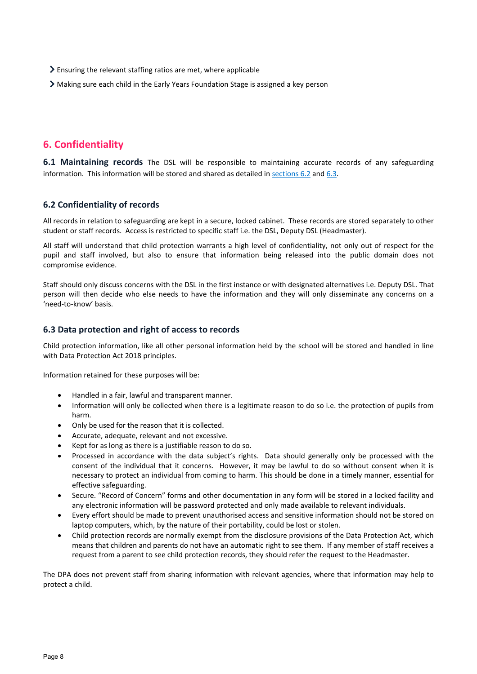- Ensuring the relevant staffing ratios are met, where applicable
- Making sure each child in the Early Years Foundation Stage is assigned a key person

## <span id="page-7-0"></span>**6. Confidentiality**

**6.1 Maintaining records** The DSL will be responsible to maintaining accurate records of any safeguarding information. This information will be stored and shared as detailed i[n sections 6.2](#page-7-1) and [6.3.](#page-7-2)

## <span id="page-7-1"></span>**6.2 Confidentiality of records**

All records in relation to safeguarding are kept in a secure, locked cabinet. These records are stored separately to other student or staff records. Access is restricted to specific staff i.e. the DSL, Deputy DSL (Headmaster).

All staff will understand that child protection warrants a high level of confidentiality, not only out of respect for the pupil and staff involved, but also to ensure that information being released into the public domain does not compromise evidence.

Staff should only discuss concerns with the DSL in the first instance or with designated alternatives i.e. Deputy DSL. That person will then decide who else needs to have the information and they will only disseminate any concerns on a 'need-to-know' basis.

## <span id="page-7-2"></span>**6.3 Data protection and right of access to records**

Child protection information, like all other personal information held by the school will be stored and handled in line with Data Protection Act 2018 principles.

Information retained for these purposes will be:

- Handled in a fair, lawful and transparent manner.
- Information will only be collected when there is a legitimate reason to do so i.e. the protection of pupils from harm.
- Only be used for the reason that it is collected.
- Accurate, adequate, relevant and not excessive.
- Kept for as long as there is a justifiable reason to do so.
- Processed in accordance with the data subject's rights. Data should generally only be processed with the consent of the individual that it concerns. However, it may be lawful to do so without consent when it is necessary to protect an individual from coming to harm. This should be done in a timely manner, essential for effective safeguarding.
- Secure. "Record of Concern" forms and other documentation in any form will be stored in a locked facility and any electronic information will be password protected and only made available to relevant individuals.
- Every effort should be made to prevent unauthorised access and sensitive information should not be stored on laptop computers, which, by the nature of their portability, could be lost or stolen.
- Child protection records are normally exempt from the disclosure provisions of the Data Protection Act, which means that children and parents do not have an automatic right to see them. If any member of staff receives a request from a parent to see child protection records, they should refer the request to the Headmaster.

The DPA does not prevent staff from sharing information with relevant agencies, where that information may help to protect a child.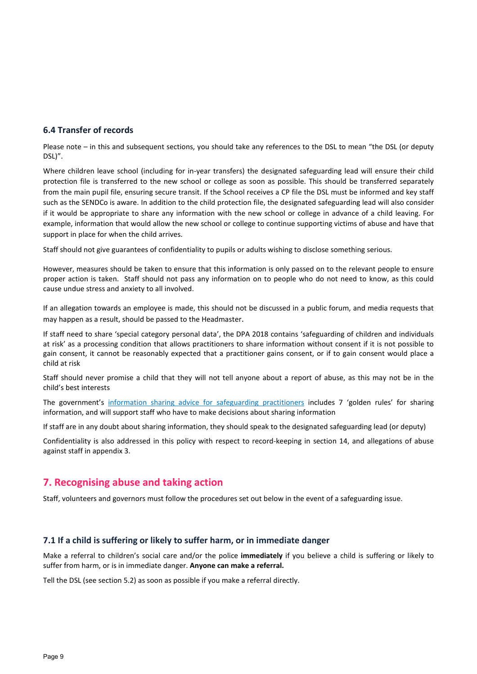## **6.4 Transfer of records**

Please note – in this and subsequent sections, you should take any references to the DSL to mean "the DSL (or deputy DSL)".

Where children leave school (including for in-year transfers) the designated safeguarding lead will ensure their child protection file is transferred to the new school or college as soon as possible. This should be transferred separately from the main pupil file, ensuring secure transit. If the School receives a CP file the DSL must be informed and key staff such as the SENDCo is aware. In addition to the child protection file, the designated safeguarding lead will also consider if it would be appropriate to share any information with the new school or college in advance of a child leaving. For example, information that would allow the new school or college to continue supporting victims of abuse and have that support in place for when the child arrives.

Staff should not give guarantees of confidentiality to pupils or adults wishing to disclose something serious.

However, measures should be taken to ensure that this information is only passed on to the relevant people to ensure proper action is taken. Staff should not pass any information on to people who do not need to know, as this could cause undue stress and anxiety to all involved.

If an allegation towards an employee is made, this should not be discussed in a public forum, and media requests that may happen as a result, should be passed to the Headmaster.

If staff need to share 'special category personal data', the DPA 2018 contains 'safeguarding of children and individuals at risk' as a processing condition that allows practitioners to share information without consent if it is not possible to gain consent, it cannot be reasonably expected that a practitioner gains consent, or if to gain consent would place a child at risk

Staff should never promise a child that they will not tell anyone about a report of abuse, as this may not be in the child's best interests

The government's [information sharing advice for safeguarding practitioners](https://www.gov.uk/government/publications/safeguarding-practitioners-information-sharing-advice) includes 7 'golden rules' for sharing information, and will support staff who have to make decisions about sharing information

If staff are in any doubt about sharing information, they should speak to the designated safeguarding lead (or deputy)

Confidentiality is also addressed in this policy with respect to record-keeping in section 14, and allegations of abuse against staff in appendix 3.

## <span id="page-8-0"></span>**7. Recognising abuse and taking action**

Staff, volunteers and governors must follow the procedures set out below in the event of a safeguarding issue.

## **7.1 If a child is suffering or likely to suffer harm, or in immediate danger**

Make a referral to children's social care and/or the police **immediately** if you believe a child is suffering or likely to suffer from harm, or is in immediate danger. **Anyone can make a referral.**

Tell the DSL (see section 5.2) as soon as possible if you make a referral directly.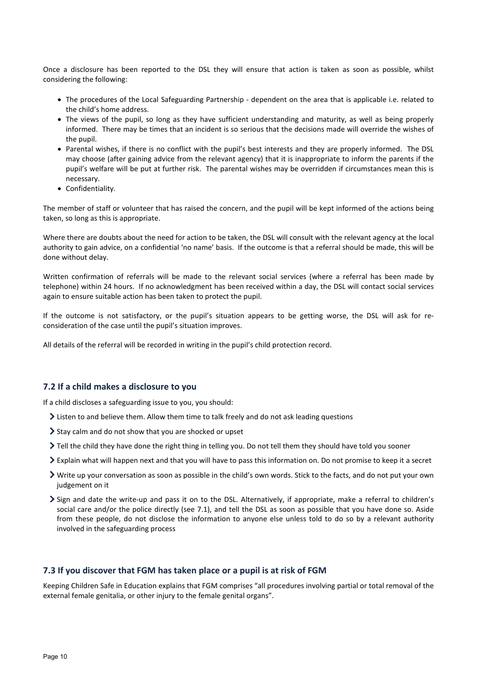Once a disclosure has been reported to the DSL they will ensure that action is taken as soon as possible, whilst considering the following:

- The procedures of the Local Safeguarding Partnership dependent on the area that is applicable i.e. related to the child's home address.
- The views of the pupil, so long as they have sufficient understanding and maturity, as well as being properly informed. There may be times that an incident is so serious that the decisions made will override the wishes of the pupil.
- Parental wishes, if there is no conflict with the pupil's best interests and they are properly informed. The DSL may choose (after gaining advice from the relevant agency) that it is inappropriate to inform the parents if the pupil's welfare will be put at further risk. The parental wishes may be overridden if circumstances mean this is necessary.
- Confidentiality.

The member of staff or volunteer that has raised the concern, and the pupil will be kept informed of the actions being taken, so long as this is appropriate.

Where there are doubts about the need for action to be taken, the DSL will consult with the relevant agency at the local authority to gain advice, on a confidential 'no name' basis. If the outcome is that a referral should be made, this will be done without delay.

Written confirmation of referrals will be made to the relevant social services (where a referral has been made by telephone) within 24 hours. If no acknowledgment has been received within a day, the DSL will contact social services again to ensure suitable action has been taken to protect the pupil.

If the outcome is not satisfactory, or the pupil's situation appears to be getting worse, the DSL will ask for reconsideration of the case until the pupil's situation improves.

All details of the referral will be recorded in writing in the pupil's child protection record.

## **7.2 If a child makes a disclosure to you**

If a child discloses a safeguarding issue to you, you should:

- $\geq$  Listen to and believe them. Allow them time to talk freely and do not ask leading questions
- Stay calm and do not show that you are shocked or upset
- Tell the child they have done the right thing in telling you. Do not tell them they should have told you sooner
- Explain what will happen next and that you will have to pass this information on. Do not promise to keep it a secret
- Write up your conversation as soon as possible in the child's own words. Stick to the facts, and do not put your own judgement on it
- Sign and date the write-up and pass it on to the DSL. Alternatively, if appropriate, make a referral to children's social care and/or the police directly (see 7.1), and tell the DSL as soon as possible that you have done so. Aside from these people, do not disclose the information to anyone else unless told to do so by a relevant authority involved in the safeguarding process

## **7.3 If you discover that FGM has taken place or a pupil is at risk of FGM**

Keeping Children Safe in Education explains that FGM comprises "all procedures involving partial or total removal of the external female genitalia, or other injury to the female genital organs".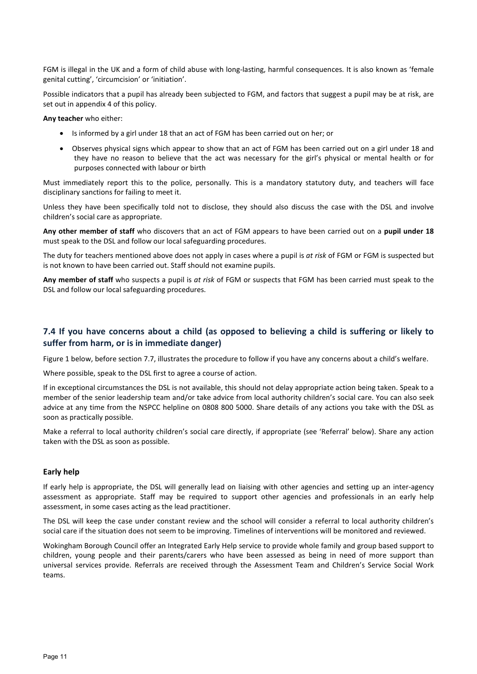FGM is illegal in the UK and a form of child abuse with long-lasting, harmful consequences. It is also known as 'female genital cutting', 'circumcision' or 'initiation'.

Possible indicators that a pupil has already been subjected to FGM, and factors that suggest a pupil may be at risk, are set out in appendix 4 of this policy.

**Any teacher** who either:

- Is informed by a girl under 18 that an act of FGM has been carried out on her; or
- Observes physical signs which appear to show that an act of FGM has been carried out on a girl under 18 and they have no reason to believe that the act was necessary for the girl's physical or mental health or for purposes connected with labour or birth

Must immediately report this to the police, personally. This is a mandatory statutory duty, and teachers will face disciplinary sanctions for failing to meet it.

Unless they have been specifically told not to disclose, they should also discuss the case with the DSL and involve children's social care as appropriate.

**Any other member of staff** who discovers that an act of FGM appears to have been carried out on a **pupil under 18** must speak to the DSL and follow our local safeguarding procedures.

The duty for teachers mentioned above does not apply in cases where a pupil is *at risk* of FGM or FGM is suspected but is not known to have been carried out. Staff should not examine pupils.

**Any member of staff** who suspects a pupil is *at risk* of FGM or suspects that FGM has been carried must speak to the DSL and follow our local safeguarding procedures.

## **7.4 If you have concerns about a child (as opposed to believing a child is suffering or likely to suffer from harm, or is in immediate danger)**

Figure 1 below, before section 7.7, illustrates the procedure to follow if you have any concerns about a child's welfare.

Where possible, speak to the DSL first to agree a course of action.

If in exceptional circumstances the DSL is not available, this should not delay appropriate action being taken. Speak to a member of the senior leadership team and/or take advice from local authority children's social care. You can also seek advice at any time from the NSPCC helpline on 0808 800 5000. Share details of any actions you take with the DSL as soon as practically possible.

Make a referral to local authority children's social care directly, if appropriate (see 'Referral' below). Share any action taken with the DSL as soon as possible.

#### **Early help**

If early help is appropriate, the DSL will generally lead on liaising with other agencies and setting up an inter-agency assessment as appropriate. Staff may be required to support other agencies and professionals in an early help assessment, in some cases acting as the lead practitioner.

The DSL will keep the case under constant review and the school will consider a referral to local authority children's social care if the situation does not seem to be improving. Timelines of interventions will be monitored and reviewed.

Wokingham Borough Council offer an Integrated Early Help service to provide whole family and group based support to children, young people and their parents/carers who have been assessed as being in need of more support than universal services provide. Referrals are received through the Assessment Team and Children's Service Social Work teams.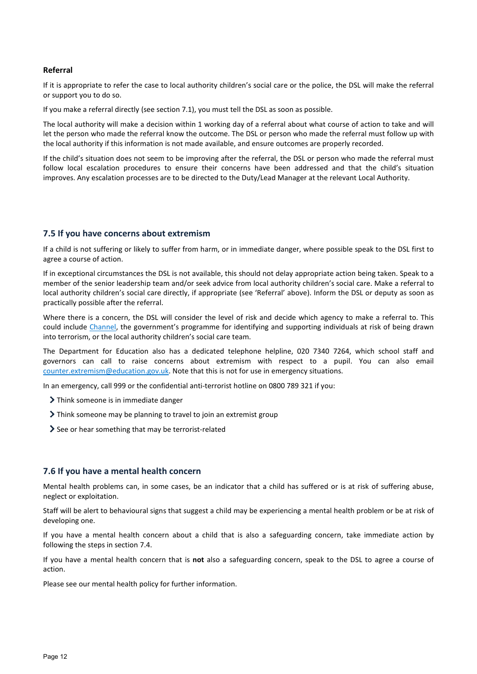#### **Referral**

If it is appropriate to refer the case to local authority children's social care or the police, the DSL will make the referral or support you to do so.

If you make a referral directly (see section 7.1), you must tell the DSL as soon as possible.

The local authority will make a decision within 1 working day of a referral about what course of action to take and will let the person who made the referral know the outcome. The DSL or person who made the referral must follow up with the local authority if this information is not made available, and ensure outcomes are properly recorded.

If the child's situation does not seem to be improving after the referral, the DSL or person who made the referral must follow local escalation procedures to ensure their concerns have been addressed and that the child's situation improves. Any escalation processes are to be directed to the Duty/Lead Manager at the relevant Local Authority.

## **7.5 If you have concerns about extremism**

If a child is not suffering or likely to suffer from harm, or in immediate danger, where possible speak to the DSL first to agree a course of action.

If in exceptional circumstances the DSL is not available, this should not delay appropriate action being taken. Speak to a member of the senior leadership team and/or seek advice from local authority children's social care. Make a referral to local authority children's social care directly, if appropriate (see 'Referral' above). Inform the DSL or deputy as soon as practically possible after the referral.

Where there is a concern, the DSL will consider the level of risk and decide which agency to make a referral to. This could include [Channel,](https://www.gov.uk/government/publications/channel-guidance) the government's programme for identifying and supporting individuals at risk of being drawn into terrorism, or the local authority children's social care team.

The Department for Education also has a dedicated telephone helpline, 020 7340 7264, which school staff and governors can call to raise concerns about extremism with respect to a pupil. You can also email [counter.extremism@education.gov.uk.](mailto:counter.extremism@education.gov.uk) Note that this is not for use in emergency situations.

In an emergency, call 999 or the confidential anti-terrorist hotline on 0800 789 321 if you:

- > Think someone is in immediate danger
- If Think someone may be planning to travel to join an extremist group
- See or hear something that may be terrorist-related

#### **7.6 If you have a mental health concern**

Mental health problems can, in some cases, be an indicator that a child has suffered or is at risk of suffering abuse, neglect or exploitation.

Staff will be alert to behavioural signs that suggest a child may be experiencing a mental health problem or be at risk of developing one.

If you have a mental health concern about a child that is also a safeguarding concern, take immediate action by following the steps in section 7.4.

If you have a mental health concern that is **not** also a safeguarding concern, speak to the DSL to agree a course of action.

Please see our mental health policy for further information.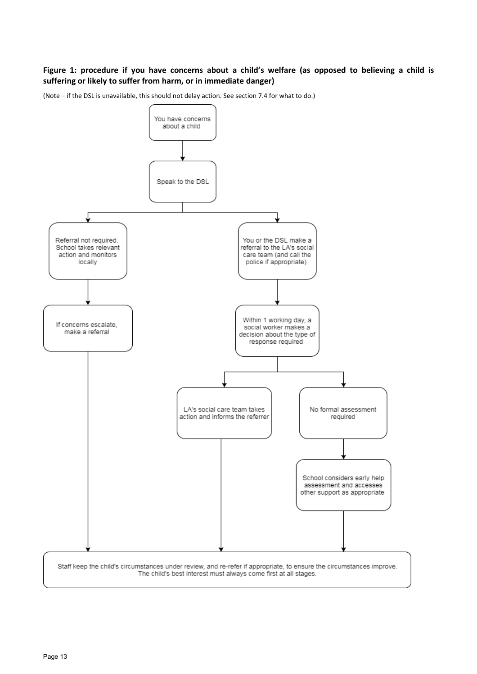## **Figure 1: procedure if you have concerns about a child's welfare (as opposed to believing a child is suffering or likely to suffer from harm, or in immediate danger)**

(Note – if the DSL is unavailable, this should not delay action. See section 7.4 for what to do.)

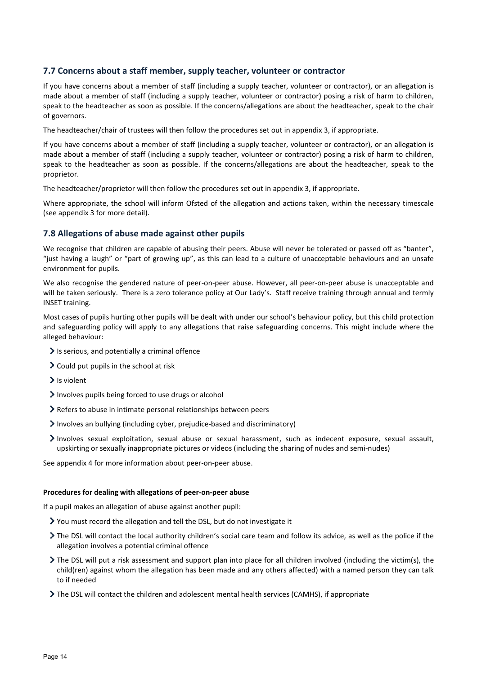## **7.7 Concerns about a staff member, supply teacher, volunteer or contractor**

If you have concerns about a member of staff (including a supply teacher, volunteer or contractor), or an allegation is made about a member of staff (including a supply teacher, volunteer or contractor) posing a risk of harm to children, speak to the headteacher as soon as possible. If the concerns/allegations are about the headteacher, speak to the chair of governors.

The headteacher/chair of trustees will then follow the procedures set out in appendix 3, if appropriate.

If you have concerns about a member of staff (including a supply teacher, volunteer or contractor), or an allegation is made about a member of staff (including a supply teacher, volunteer or contractor) posing a risk of harm to children, speak to the headteacher as soon as possible. If the concerns/allegations are about the headteacher, speak to the proprietor.

The headteacher/proprietor will then follow the procedures set out in appendix 3, if appropriate.

Where appropriate, the school will inform Ofsted of the allegation and actions taken, within the necessary timescale (see appendix 3 for more detail).

## **7.8 Allegations of abuse made against other pupils**

We recognise that children are capable of abusing their peers. Abuse will never be tolerated or passed off as "banter", "just having a laugh" or "part of growing up", as this can lead to a culture of unacceptable behaviours and an unsafe environment for pupils.

We also recognise the gendered nature of peer-on-peer abuse. However, all peer-on-peer abuse is unacceptable and will be taken seriously. There is a zero tolerance policy at Our Lady's. Staff receive training through annual and termly INSET training.

Most cases of pupils hurting other pupils will be dealt with under our school's behaviour policy, but this child protection and safeguarding policy will apply to any allegations that raise safeguarding concerns. This might include where the alleged behaviour:

- $\blacktriangleright$  Is serious, and potentially a criminal offence
- $\geq$  Could put pupils in the school at risk
- $\sum$  Is violent
- Involves pupils being forced to use drugs or alcohol
- Refers to abuse in intimate personal relationships between peers
- Involves an bullying (including cyber, prejudice-based and discriminatory)
- Involves sexual exploitation, sexual abuse or sexual harassment, such as indecent exposure, sexual assault, upskirting or sexually inappropriate pictures or videos (including the sharing of nudes and semi-nudes)

See appendix 4 for more information about peer-on-peer abuse.

#### **Procedures for dealing with allegations of peer-on-peer abuse**

If a pupil makes an allegation of abuse against another pupil:

- You must record the allegation and tell the DSL, but do not investigate it
- The DSL will contact the local authority children's social care team and follow its advice, as well as the police if the allegation involves a potential criminal offence
- The DSL will put a risk assessment and support plan into place for all children involved (including the victim(s), the child(ren) against whom the allegation has been made and any others affected) with a named person they can talk to if needed
- The DSL will contact the children and adolescent mental health services (CAMHS), if appropriate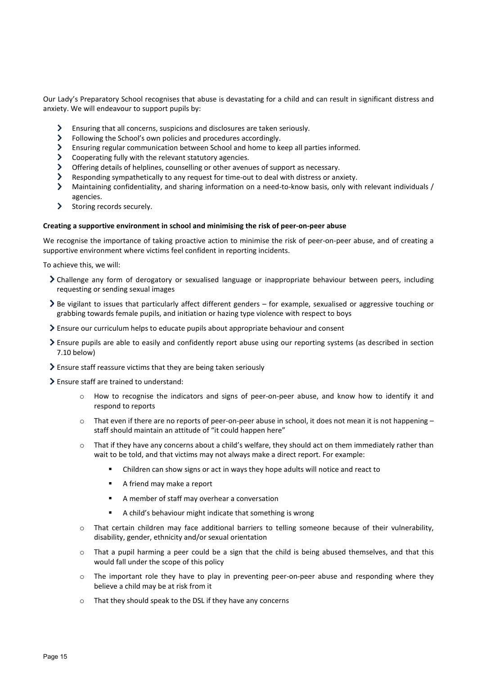Our Lady's Preparatory School recognises that abuse is devastating for a child and can result in significant distress and anxiety. We will endeavour to support pupils by:

- Ensuring that all concerns, suspicions and disclosures are taken seriously.
- $\blacktriangleright$ Following the School's own policies and procedures accordingly.
- $\rightarrow$ Ensuring regular communication between School and home to keep all parties informed.
- $\rightarrow$ Cooperating fully with the relevant statutory agencies.
- $\sum$ Offering details of helplines, counselling or other avenues of support as necessary.
- $\blacktriangleright$ Responding sympathetically to any request for time-out to deal with distress or anxiety.
- $\blacktriangleright$ Maintaining confidentiality, and sharing information on a need-to-know basis, only with relevant individuals / agencies.
- $\rightarrow$ Storing records securely.

#### **Creating a supportive environment in school and minimising the risk of peer-on-peer abuse**

We recognise the importance of taking proactive action to minimise the risk of peer-on-peer abuse, and of creating a supportive environment where victims feel confident in reporting incidents.

To achieve this, we will:

- Challenge any form of derogatory or sexualised language or inappropriate behaviour between peers, including requesting or sending sexual images
- Be vigilant to issues that particularly affect different genders for example, sexualised or aggressive touching or grabbing towards female pupils, and initiation or hazing type violence with respect to boys
- Ensure our curriculum helps to educate pupils about appropriate behaviour and consent
- Ensure pupils are able to easily and confidently report abuse using our reporting systems (as described in section 7.10 below)
- Ensure staff reassure victims that they are being taken seriously
- Ensure staff are trained to understand:
	- o How to recognise the indicators and signs of peer-on-peer abuse, and know how to identify it and respond to reports
	- $\circ$  That even if there are no reports of peer-on-peer abuse in school, it does not mean it is not happening staff should maintain an attitude of "it could happen here"
	- o That if they have any concerns about a child's welfare, they should act on them immediately rather than wait to be told, and that victims may not always make a direct report. For example:
		- Children can show signs or act in ways they hope adults will notice and react to
		- A friend may make a report
		- A member of staff may overhear a conversation
		- A child's behaviour might indicate that something is wrong
	- o That certain children may face additional barriers to telling someone because of their vulnerability, disability, gender, ethnicity and/or sexual orientation
	- o That a pupil harming a peer could be a sign that the child is being abused themselves, and that this would fall under the scope of this policy
	- o The important role they have to play in preventing peer-on-peer abuse and responding where they believe a child may be at risk from it
	- o That they should speak to the DSL if they have any concerns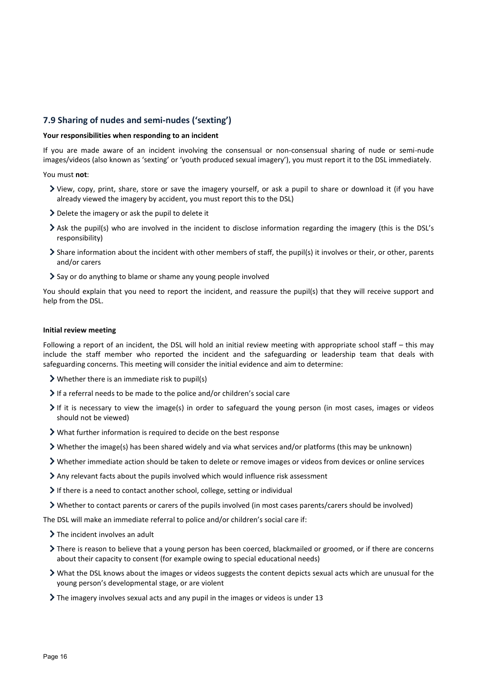## **7.9 Sharing of nudes and semi-nudes ('sexting')**

#### **Your responsibilities when responding to an incident**

If you are made aware of an incident involving the consensual or non-consensual sharing of nude or semi-nude images/videos (also known as 'sexting' or 'youth produced sexual imagery'), you must report it to the DSL immediately.

You must **not**:

- View, copy, print, share, store or save the imagery yourself, or ask a pupil to share or download it (if you have already viewed the imagery by accident, you must report this to the DSL)
- $\geq$  Delete the imagery or ask the pupil to delete it
- Ask the pupil(s) who are involved in the incident to disclose information regarding the imagery (this is the DSL's responsibility)
- Share information about the incident with other members of staff, the pupil(s) it involves or their, or other, parents and/or carers
- Say or do anything to blame or shame any young people involved

You should explain that you need to report the incident, and reassure the pupil(s) that they will receive support and help from the DSL.

#### **Initial review meeting**

Following a report of an incident, the DSL will hold an initial review meeting with appropriate school staff – this may include the staff member who reported the incident and the safeguarding or leadership team that deals with safeguarding concerns. This meeting will consider the initial evidence and aim to determine:

- Whether there is an immediate risk to pupil(s)
- If a referral needs to be made to the police and/or children's social care
- If it is necessary to view the image(s) in order to safeguard the young person (in most cases, images or videos should not be viewed)
- What further information is required to decide on the best response
- Whether the image(s) has been shared widely and via what services and/or platforms (this may be unknown)
- Whether immediate action should be taken to delete or remove images or videos from devices or online services
- Any relevant facts about the pupils involved which would influence risk assessment
- If there is a need to contact another school, college, setting or individual
- Whether to contact parents or carers of the pupils involved (in most cases parents/carers should be involved)

The DSL will make an immediate referral to police and/or children's social care if:

- $\triangleright$  The incident involves an adult
- There is reason to believe that a young person has been coerced, blackmailed or groomed, or if there are concerns about their capacity to consent (for example owing to special educational needs)
- What the DSL knows about the images or videos suggests the content depicts sexual acts which are unusual for the young person's developmental stage, or are violent
- $\blacktriangleright$  The imagery involves sexual acts and any pupil in the images or videos is under 13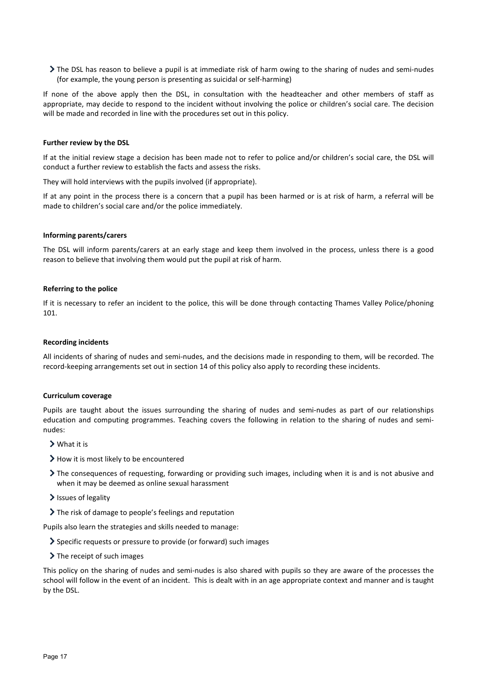The DSL has reason to believe a pupil is at immediate risk of harm owing to the sharing of nudes and semi-nudes (for example, the young person is presenting as suicidal or self-harming)

If none of the above apply then the DSL, in consultation with the headteacher and other members of staff as appropriate, may decide to respond to the incident without involving the police or children's social care. The decision will be made and recorded in line with the procedures set out in this policy.

#### **Further review by the DSL**

If at the initial review stage a decision has been made not to refer to police and/or children's social care, the DSL will conduct a further review to establish the facts and assess the risks.

They will hold interviews with the pupils involved (if appropriate).

If at any point in the process there is a concern that a pupil has been harmed or is at risk of harm, a referral will be made to children's social care and/or the police immediately.

#### **Informing parents/carers**

The DSL will inform parents/carers at an early stage and keep them involved in the process, unless there is a good reason to believe that involving them would put the pupil at risk of harm.

#### **Referring to the police**

If it is necessary to refer an incident to the police, this will be done through contacting Thames Valley Police/phoning 101.

#### **Recording incidents**

All incidents of sharing of nudes and semi-nudes, and the decisions made in responding to them, will be recorded. The record-keeping arrangements set out in section 14 of this policy also apply to recording these incidents.

#### **Curriculum coverage**

Pupils are taught about the issues surrounding the sharing of nudes and semi-nudes as part of our relationships education and computing programmes. Teaching covers the following in relation to the sharing of nudes and seminudes:

- What it is
- > How it is most likely to be encountered
- The consequences of requesting, forwarding or providing such images, including when it is and is not abusive and when it may be deemed as online sexual harassment
- $\blacktriangleright$  Issues of legality
- The risk of damage to people's feelings and reputation

Pupils also learn the strategies and skills needed to manage:

- Specific requests or pressure to provide (or forward) such images
- $\blacktriangleright$  The receipt of such images

This policy on the sharing of nudes and semi-nudes is also shared with pupils so they are aware of the processes the school will follow in the event of an incident. This is dealt with in an age appropriate context and manner and is taught by the DSL.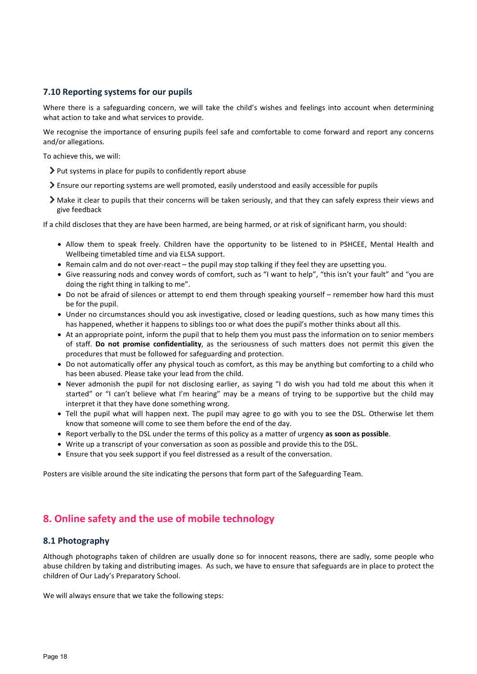## **7.10 Reporting systems for our pupils**

Where there is a safeguarding concern, we will take the child's wishes and feelings into account when determining what action to take and what services to provide.

We recognise the importance of ensuring pupils feel safe and comfortable to come forward and report any concerns and/or allegations.

To achieve this, we will:

- Put systems in place for pupils to confidently report abuse
- Ensure our reporting systems are well promoted, easily understood and easily accessible for pupils
- Make it clear to pupils that their concerns will be taken seriously, and that they can safely express their views and give feedback

If a child discloses that they are have been harmed, are being harmed, or at risk of significant harm, you should:

- Allow them to speak freely. Children have the opportunity to be listened to in PSHCEE, Mental Health and Wellbeing timetabled time and via ELSA support.
- Remain calm and do not over-react the pupil may stop talking if they feel they are upsetting you.
- Give reassuring nods and convey words of comfort, such as "I want to help", "this isn't your fault" and "you are doing the right thing in talking to me".
- Do not be afraid of silences or attempt to end them through speaking yourself remember how hard this must be for the pupil.
- Under no circumstances should you ask investigative, closed or leading questions, such as how many times this has happened, whether it happens to siblings too or what does the pupil's mother thinks about all this.
- At an appropriate point, inform the pupil that to help them you must pass the information on to senior members of staff. **Do not promise confidentiality**, as the seriousness of such matters does not permit this given the procedures that must be followed for safeguarding and protection.
- Do not automatically offer any physical touch as comfort, as this may be anything but comforting to a child who has been abused. Please take your lead from the child.
- Never admonish the pupil for not disclosing earlier, as saying "I do wish you had told me about this when it started" or "I can't believe what I'm hearing" may be a means of trying to be supportive but the child may interpret it that they have done something wrong.
- Tell the pupil what will happen next. The pupil may agree to go with you to see the DSL. Otherwise let them know that someone will come to see them before the end of the day.
- Report verbally to the DSL under the terms of this policy as a matter of urgency **as soon as possible**.
- Write up a transcript of your conversation as soon as possible and provide this to the DSL.
- Ensure that you seek support if you feel distressed as a result of the conversation.

Posters are visible around the site indicating the persons that form part of the Safeguarding Team.

## <span id="page-17-0"></span>**8. Online safety and the use of mobile technology**

## **8.1 Photography**

Although photographs taken of children are usually done so for innocent reasons, there are sadly, some people who abuse children by taking and distributing images. As such, we have to ensure that safeguards are in place to protect the children of Our Lady's Preparatory School.

We will always ensure that we take the following steps: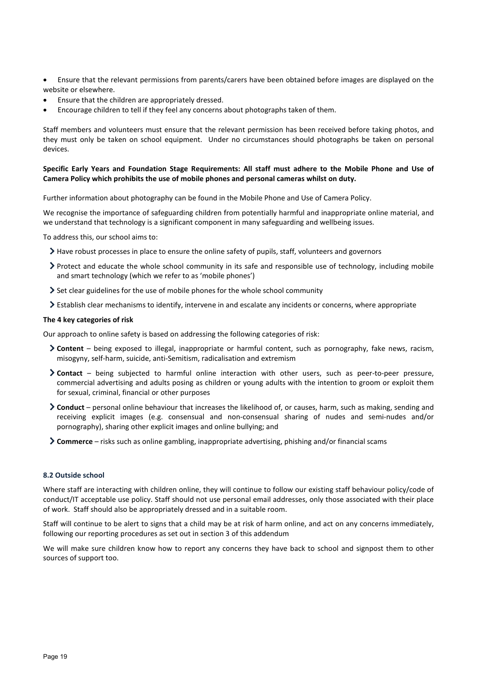- Ensure that the relevant permissions from parents/carers have been obtained before images are displayed on the website or elsewhere.
- Ensure that the children are appropriately dressed.
- Encourage children to tell if they feel any concerns about photographs taken of them.

Staff members and volunteers must ensure that the relevant permission has been received before taking photos, and they must only be taken on school equipment. Under no circumstances should photographs be taken on personal devices.

#### **Specific Early Years and Foundation Stage Requirements: All staff must adhere to the Mobile Phone and Use of Camera Policy which prohibits the use of mobile phones and personal cameras whilst on duty.**

Further information about photography can be found in the Mobile Phone and Use of Camera Policy.

We recognise the importance of safeguarding children from potentially harmful and inappropriate online material, and we understand that technology is a significant component in many safeguarding and wellbeing issues.

To address this, our school aims to:

- $\geq$  Have robust processes in place to ensure the online safety of pupils, staff, volunteers and governors
- Protect and educate the whole school community in its safe and responsible use of technology, including mobile and smart technology (which we refer to as 'mobile phones')
- $\geq$  Set clear guidelines for the use of mobile phones for the whole school community
- Establish clear mechanisms to identify, intervene in and escalate any incidents or concerns, where appropriate

#### **The 4 key categories of risk**

Our approach to online safety is based on addressing the following categories of risk:

- **Content** being exposed to illegal, inappropriate or harmful content, such as pornography, fake news, racism, misogyny, self-harm, suicide, anti-Semitism, radicalisation and extremism
- **Contact** being subjected to harmful online interaction with other users, such as peer-to-peer pressure, commercial advertising and adults posing as children or young adults with the intention to groom or exploit them for sexual, criminal, financial or other purposes
- **Conduct** personal online behaviour that increases the likelihood of, or causes, harm, such as making, sending and receiving explicit images (e.g. consensual and non-consensual sharing of nudes and semi-nudes and/or pornography), sharing other explicit images and online bullying; and
- **Commerce** risks such as online gambling, inappropriate advertising, phishing and/or financial scams

#### **8.2 Outside school**

Where staff are interacting with children online, they will continue to follow our existing staff behaviour policy/code of conduct/IT acceptable use policy. Staff should not use personal email addresses, only those associated with their place of work. Staff should also be appropriately dressed and in a suitable room.

Staff will continue to be alert to signs that a child may be at risk of harm online, and act on any concerns immediately, following our reporting procedures as set out in section 3 of this addendum

We will make sure children know how to report any concerns they have back to school and signpost them to other sources of support too.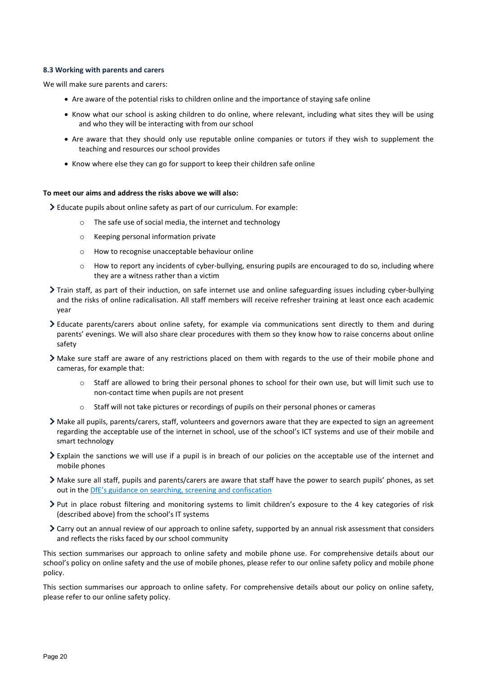#### **8.3 Working with parents and carers**

We will make sure parents and carers:

- Are aware of the potential risks to children online and the importance of staying safe online
- Know what our school is asking children to do online, where relevant, including what sites they will be using and who they will be interacting with from our school
- Are aware that they should only use reputable online companies or tutors if they wish to supplement the teaching and resources our school provides
- Know where else they can go for support to keep their children safe online

#### **To meet our aims and address the risks above we will also:**

 $\geq$  Educate pupils about online safety as part of our curriculum. For example:

- The safe use of social media, the internet and technology
- o Keeping personal information private
- o How to recognise unacceptable behaviour online
- o How to report any incidents of cyber-bullying, ensuring pupils are encouraged to do so, including where they are a witness rather than a victim
- Train staff, as part of their induction, on safe internet use and online safeguarding issues including cyber-bullying and the risks of online radicalisation. All staff members will receive refresher training at least once each academic year
- Educate parents/carers about online safety, for example via communications sent directly to them and during parents' evenings. We will also share clear procedures with them so they know how to raise concerns about online safety
- Make sure staff are aware of any restrictions placed on them with regards to the use of their mobile phone and cameras, for example that:
	- o Staff are allowed to bring their personal phones to school for their own use, but will limit such use to non-contact time when pupils are not present
	- o Staff will not take pictures or recordings of pupils on their personal phones or cameras
- Make all pupils, parents/carers, staff, volunteers and governors aware that they are expected to sign an agreement regarding the acceptable use of the internet in school, use of the school's ICT systems and use of their mobile and smart technology
- Explain the sanctions we will use if a pupil is in breach of our policies on the acceptable use of the internet and mobile phones
- Make sure all staff, pupils and parents/carers are aware that staff have the power to search pupils' phones, as set out in th[e DfE's guidance on searching, screening and confiscation](https://www.gov.uk/government/publications/searching-screening-and-confiscation)
- Put in place robust filtering and monitoring systems to limit children's exposure to the 4 key categories of risk (described above) from the school's IT systems
- Carry out an annual review of our approach to online safety, supported by an annual risk assessment that considers and reflects the risks faced by our school community

This section summarises our approach to online safety and mobile phone use. For comprehensive details about our school's policy on online safety and the use of mobile phones, please refer to our online safety policy and mobile phone policy.

This section summarises our approach to online safety. For comprehensive details about our policy on online safety, please refer to our online safety policy.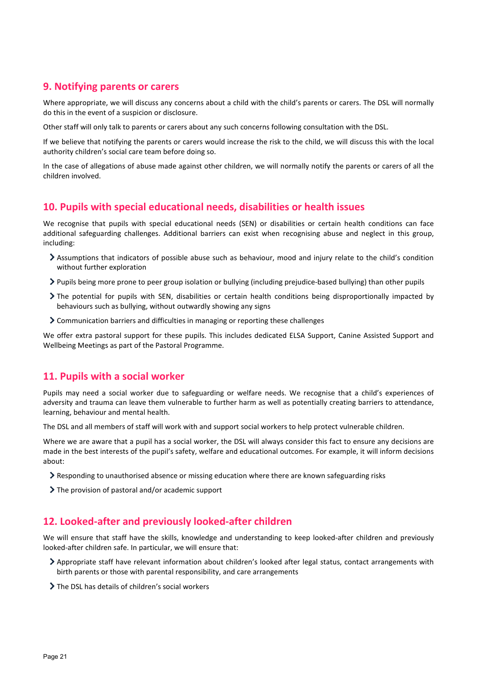## <span id="page-20-0"></span>**9. Notifying parents or carers**

Where appropriate, we will discuss any concerns about a child with the child's parents or carers. The DSL will normally do this in the event of a suspicion or disclosure.

Other staff will only talk to parents or carers about any such concerns following consultation with the DSL.

If we believe that notifying the parents or carers would increase the risk to the child, we will discuss this with the local authority children's social care team before doing so.

In the case of allegations of abuse made against other children, we will normally notify the parents or carers of all the children involved.

## <span id="page-20-1"></span>**10. Pupils with special educational needs, disabilities or health issues**

We recognise that pupils with special educational needs (SEN) or disabilities or certain health conditions can face additional safeguarding challenges. Additional barriers can exist when recognising abuse and neglect in this group, including:

- Assumptions that indicators of possible abuse such as behaviour, mood and injury relate to the child's condition without further exploration
- Pupils being more prone to peer group isolation or bullying (including prejudice-based bullying) than other pupils
- The potential for pupils with SEN, disabilities or certain health conditions being disproportionally impacted by behaviours such as bullying, without outwardly showing any signs
- Communication barriers and difficulties in managing or reporting these challenges

We offer extra pastoral support for these pupils. This includes dedicated ELSA Support, Canine Assisted Support and Wellbeing Meetings as part of the Pastoral Programme.

## <span id="page-20-2"></span>**11. Pupils with a social worker**

Pupils may need a social worker due to safeguarding or welfare needs. We recognise that a child's experiences of adversity and trauma can leave them vulnerable to further harm as well as potentially creating barriers to attendance, learning, behaviour and mental health.

The DSL and all members of staff will work with and support social workers to help protect vulnerable children.

Where we are aware that a pupil has a social worker, the DSL will always consider this fact to ensure any decisions are made in the best interests of the pupil's safety, welfare and educational outcomes. For example, it will inform decisions about:

- Responding to unauthorised absence or missing education where there are known safeguarding risks
- The provision of pastoral and/or academic support

## <span id="page-20-3"></span>**12. Looked-after and previously looked-after children**

We will ensure that staff have the skills, knowledge and understanding to keep looked-after children and previously looked-after children safe. In particular, we will ensure that:

- Appropriate staff have relevant information about children's looked after legal status, contact arrangements with birth parents or those with parental responsibility, and care arrangements
- > The DSL has details of children's social workers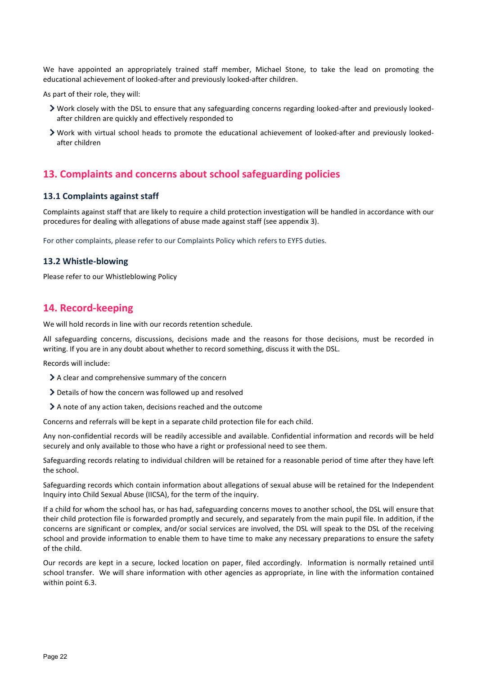We have appointed an appropriately trained staff member, Michael Stone, to take the lead on promoting the educational achievement of looked-after and previously looked-after children.

As part of their role, they will:

- Work closely with the DSL to ensure that any safeguarding concerns regarding looked-after and previously lookedafter children are quickly and effectively responded to
- Work with virtual school heads to promote the educational achievement of looked-after and previously lookedafter children

## <span id="page-21-0"></span>**13. Complaints and concerns about school safeguarding policies**

#### **13.1 Complaints against staff**

Complaints against staff that are likely to require a child protection investigation will be handled in accordance with our procedures for dealing with allegations of abuse made against staff (see appendix 3).

For other complaints, please refer to our Complaints Policy which refers to EYFS duties.

## **13.2 Whistle-blowing**

Please refer to our Whistleblowing Policy

## <span id="page-21-1"></span>**14. Record-keeping**

We will hold records in line with our records retention schedule.

All safeguarding concerns, discussions, decisions made and the reasons for those decisions, must be recorded in writing. If you are in any doubt about whether to record something, discuss it with the DSL.

Records will include:

- A clear and comprehensive summary of the concern
- Details of how the concern was followed up and resolved
- A note of any action taken, decisions reached and the outcome

Concerns and referrals will be kept in a separate child protection file for each child.

Any non-confidential records will be readily accessible and available. Confidential information and records will be held securely and only available to those who have a right or professional need to see them.

Safeguarding records relating to individual children will be retained for a reasonable period of time after they have left the school.

Safeguarding records which contain information about allegations of sexual abuse will be retained for the Independent Inquiry into Child Sexual Abuse (IICSA), for the term of the inquiry.

If a child for whom the school has, or has had, safeguarding concerns moves to another school, the DSL will ensure that their child protection file is forwarded promptly and securely, and separately from the main pupil file. In addition, if the concerns are significant or complex, and/or social services are involved, the DSL will speak to the DSL of the receiving school and provide information to enable them to have time to make any necessary preparations to ensure the safety of the child.

Our records are kept in a secure, locked location on paper, filed accordingly. Information is normally retained until school transfer. We will share information with other agencies as appropriate, in line with the information contained within point 6.3.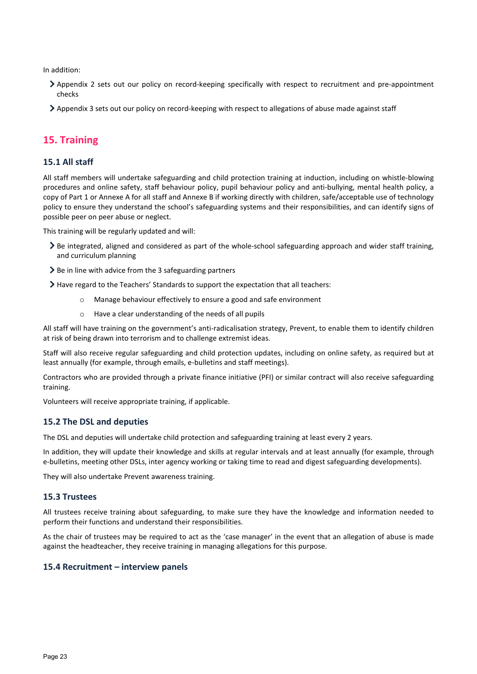In addition:

- Appendix 2 sets out our policy on record-keeping specifically with respect to recruitment and pre-appointment checks
- Appendix 3 sets out our policy on record-keeping with respect to allegations of abuse made against staff

## <span id="page-22-0"></span>**15. Training**

## **15.1 All staff**

All staff members will undertake safeguarding and child protection training at induction, including on whistle-blowing procedures and online safety, staff behaviour policy, pupil behaviour policy and anti-bullying, mental health policy, a copy of Part 1 or Annexe A for all staff and Annexe B if working directly with children, safe/acceptable use of technology policy to ensure they understand the school's safeguarding systems and their responsibilities, and can identify signs of possible peer on peer abuse or neglect.

This training will be regularly updated and will:

- Be integrated, aligned and considered as part of the whole-school safeguarding approach and wider staff training, and curriculum planning
- $\geq$  Be in line with advice from the 3 safeguarding partners

Have regard to the Teachers' Standards to support the expectation that all teachers:

- o Manage behaviour effectively to ensure a good and safe environment
- o Have a clear understanding of the needs of all pupils

All staff will have training on the government's anti-radicalisation strategy, Prevent, to enable them to identify children at risk of being drawn into terrorism and to challenge extremist ideas.

Staff will also receive regular safeguarding and child protection updates, including on online safety, as required but at least annually (for example, through emails, e-bulletins and staff meetings).

Contractors who are provided through a private finance initiative (PFI) or similar contract will also receive safeguarding training.

Volunteers will receive appropriate training, if applicable.

#### **15.2 The DSL and deputies**

The DSL and deputies will undertake child protection and safeguarding training at least every 2 years.

In addition, they will update their knowledge and skills at regular intervals and at least annually (for example, through e-bulletins, meeting other DSLs, inter agency working or taking time to read and digest safeguarding developments).

They will also undertake Prevent awareness training.

#### **15.3 Trustees**

All trustees receive training about safeguarding, to make sure they have the knowledge and information needed to perform their functions and understand their responsibilities.

As the chair of trustees may be required to act as the 'case manager' in the event that an allegation of abuse is made against the headteacher, they receive training in managing allegations for this purpose.

#### **15.4 Recruitment – interview panels**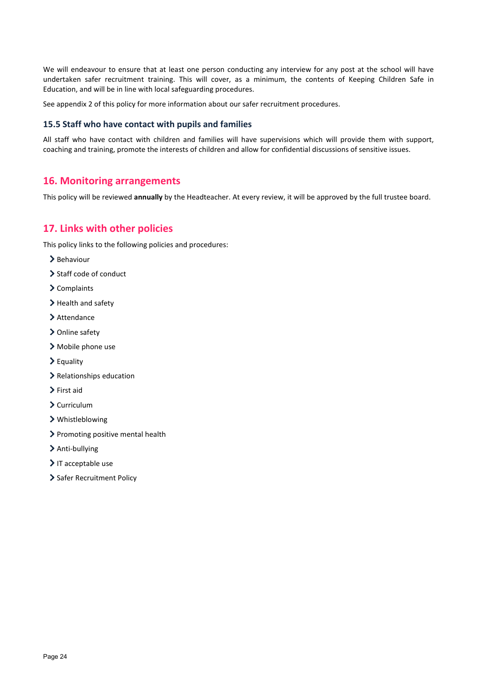We will endeavour to ensure that at least one person conducting any interview for any post at the school will have undertaken safer recruitment training. This will cover, as a minimum, the contents of Keeping Children Safe in Education, and will be in line with local safeguarding procedures.

See appendix 2 of this policy for more information about our safer recruitment procedures.

#### **15.5 Staff who have contact with pupils and families**

All staff who have contact with children and families will have supervisions which will provide them with support, coaching and training, promote the interests of children and allow for confidential discussions of sensitive issues.

## <span id="page-23-0"></span>**16. Monitoring arrangements**

This policy will be reviewed **annually** by the Headteacher. At every review, it will be approved by the full trustee board.

## <span id="page-23-1"></span>**17. Links with other policies**

This policy links to the following policies and procedures:

- $\blacktriangleright$  Behaviour
- $\triangleright$  Staff code of conduct
- > Complaints
- > Health and safety
- > Attendance
- > Online safety
- Mobile phone use
- Equality
- > Relationships education
- > First aid
- $\sum$  Curriculum
- Whistleblowing
- > Promoting positive mental health
- > Anti-bullying
- IT acceptable use
- > Safer Recruitment Policy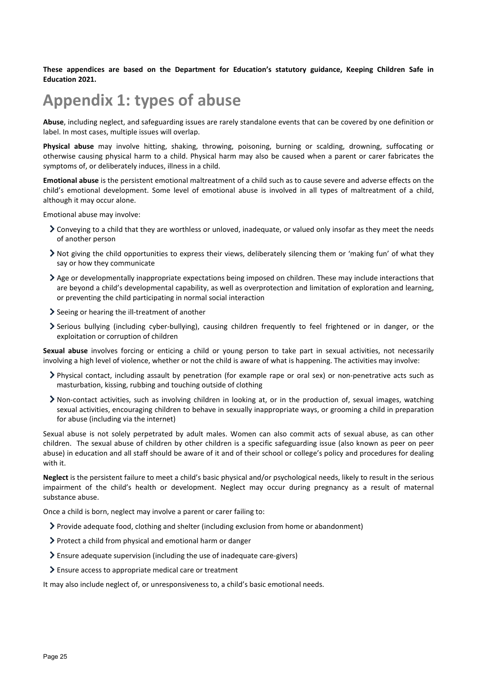**These appendices are based on the Department for Education's statutory guidance, Keeping Children Safe in Education 2021.**

## <span id="page-24-0"></span>**Appendix 1: types of abuse**

**Abuse**, including neglect, and safeguarding issues are rarely standalone events that can be covered by one definition or label. In most cases, multiple issues will overlap.

**Physical abuse** may involve hitting, shaking, throwing, poisoning, burning or scalding, drowning, suffocating or otherwise causing physical harm to a child. Physical harm may also be caused when a parent or carer fabricates the symptoms of, or deliberately induces, illness in a child.

**Emotional abuse** is the persistent emotional maltreatment of a child such as to cause severe and adverse effects on the child's emotional development. Some level of emotional abuse is involved in all types of maltreatment of a child, although it may occur alone.

Emotional abuse may involve:

- Conveying to a child that they are worthless or unloved, inadequate, or valued only insofar as they meet the needs of another person
- Not giving the child opportunities to express their views, deliberately silencing them or 'making fun' of what they say or how they communicate
- Age or developmentally inappropriate expectations being imposed on children. These may include interactions that are beyond a child's developmental capability, as well as overprotection and limitation of exploration and learning, or preventing the child participating in normal social interaction
- $\geq$  Seeing or hearing the ill-treatment of another
- Serious bullying (including cyber-bullying), causing children frequently to feel frightened or in danger, or the exploitation or corruption of children

**Sexual abuse** involves forcing or enticing a child or young person to take part in sexual activities, not necessarily involving a high level of violence, whether or not the child is aware of what is happening. The activities may involve:

- Physical contact, including assault by penetration (for example rape or oral sex) or non-penetrative acts such as masturbation, kissing, rubbing and touching outside of clothing
- Non-contact activities, such as involving children in looking at, or in the production of, sexual images, watching sexual activities, encouraging children to behave in sexually inappropriate ways, or grooming a child in preparation for abuse (including via the internet)

Sexual abuse is not solely perpetrated by adult males. Women can also commit acts of sexual abuse, as can other children. The sexual abuse of children by other children is a specific safeguarding issue (also known as peer on peer abuse) in education and all staff should be aware of it and of their school or college's policy and procedures for dealing with it.

**Neglect** is the persistent failure to meet a child's basic physical and/or psychological needs, likely to result in the serious impairment of the child's health or development. Neglect may occur during pregnancy as a result of maternal substance abuse.

Once a child is born, neglect may involve a parent or carer failing to:

- Provide adequate food, clothing and shelter (including exclusion from home or abandonment)
- Protect a child from physical and emotional harm or danger
- Ensure adequate supervision (including the use of inadequate care-givers)
- Ensure access to appropriate medical care or treatment

It may also include neglect of, or unresponsiveness to, a child's basic emotional needs.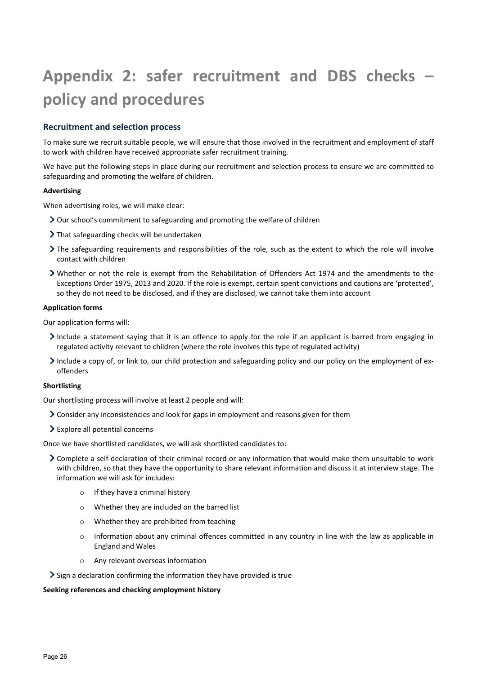## <span id="page-25-0"></span>**Appendix 2: safer recruitment and DBS checks – policy and procedures**

## **Recruitment and selection process**

To make sure we recruit suitable people, we will ensure that those involved in the recruitment and employment of staff to work with children have received appropriate safer recruitment training.

We have put the following steps in place during our recruitment and selection process to ensure we are committed to safeguarding and promoting the welfare of children.

#### **Advertising**

When advertising roles, we will make clear:

- Our school's commitment to safeguarding and promoting the welfare of children
- > That safeguarding checks will be undertaken
- The safeguarding requirements and responsibilities of the role, such as the extent to which the role will involve contact with children
- Whether or not the role is exempt from the Rehabilitation of Offenders Act 1974 and the amendments to the Exceptions Order 1975, 2013 and 2020. If the role is exempt, certain spent convictions and cautions are 'protected', so they do not need to be disclosed, and if they are disclosed, we cannot take them into account

#### **Application forms**

Our application forms will:

- Include a statement saying that it is an offence to apply for the role if an applicant is barred from engaging in regulated activity relevant to children (where the role involves this type of regulated activity)
- Include a copy of, or link to, our child protection and safeguarding policy and our policy on the employment of exoffenders

#### **Shortlisting**

Our shortlisting process will involve at least 2 people and will:

- Consider any inconsistencies and look for gaps in employment and reasons given for them
- Explore all potential concerns

Once we have shortlisted candidates, we will ask shortlisted candidates to:

- Complete a self-declaration of their criminal record or any information that would make them unsuitable to work with children, so that they have the opportunity to share relevant information and discuss it at interview stage. The information we will ask for includes:
	- o If they have a criminal history
	- o Whether they are included on the barred list
	- o Whether they are prohibited from teaching
	- o Information about any criminal offences committed in any country in line with the law as applicable in England and Wales
	- o Any relevant overseas information
- $\geq$  Sign a declaration confirming the information they have provided is true

#### **Seeking references and checking employment history**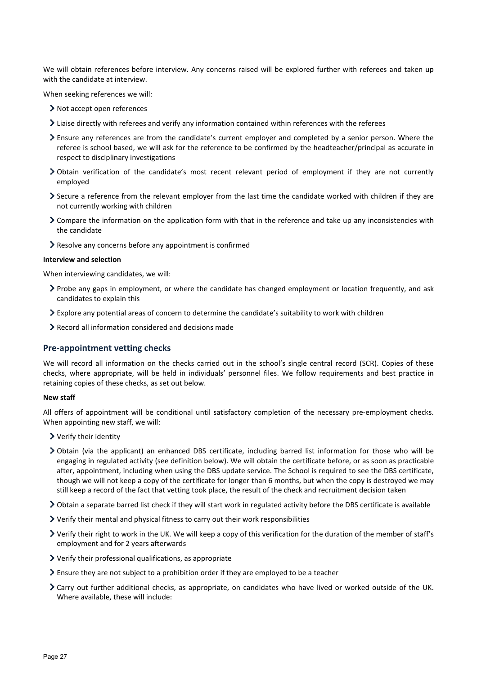We will obtain references before interview. Any concerns raised will be explored further with referees and taken up with the candidate at interview.

When seeking references we will:

- > Not accept open references
- Liaise directly with referees and verify any information contained within references with the referees
- Ensure any references are from the candidate's current employer and completed by a senior person. Where the referee is school based, we will ask for the reference to be confirmed by the headteacher/principal as accurate in respect to disciplinary investigations
- Obtain verification of the candidate's most recent relevant period of employment if they are not currently employed
- Secure a reference from the relevant employer from the last time the candidate worked with children if they are not currently working with children
- Compare the information on the application form with that in the reference and take up any inconsistencies with the candidate
- Resolve any concerns before any appointment is confirmed

#### **Interview and selection**

When interviewing candidates, we will:

- Probe any gaps in employment, or where the candidate has changed employment or location frequently, and ask candidates to explain this
- Explore any potential areas of concern to determine the candidate's suitability to work with children
- Record all information considered and decisions made

#### **Pre-appointment vetting checks**

We will record all information on the checks carried out in the school's single central record (SCR). Copies of these checks, where appropriate, will be held in individuals' personnel files. We follow requirements and best practice in retaining copies of these checks, as set out below.

#### **New staff**

All offers of appointment will be conditional until satisfactory completion of the necessary pre-employment checks. When appointing new staff, we will:

- Verify their identity
- Obtain (via the applicant) an enhanced DBS certificate, including barred list information for those who will be engaging in regulated activity (see definition below). We will obtain the certificate before, or as soon as practicable after, appointment, including when using the DBS update service. The School is required to see the DBS certificate, though we will not keep a copy of the certificate for longer than 6 months, but when the copy is destroyed we may still keep a record of the fact that vetting took place, the result of the check and recruitment decision taken
- Obtain a separate barred list check if they will start work in regulated activity before the DBS certificate is available
- Verify their mental and physical fitness to carry out their work responsibilities
- Verify their right to work in the UK. We will keep a copy of this verification for the duration of the member of staff's employment and for 2 years afterwards
- Verify their professional qualifications, as appropriate
- $\geq$  Ensure they are not subject to a prohibition order if they are employed to be a teacher
- Carry out further additional checks, as appropriate, on candidates who have lived or worked outside of the UK. Where available, these will include: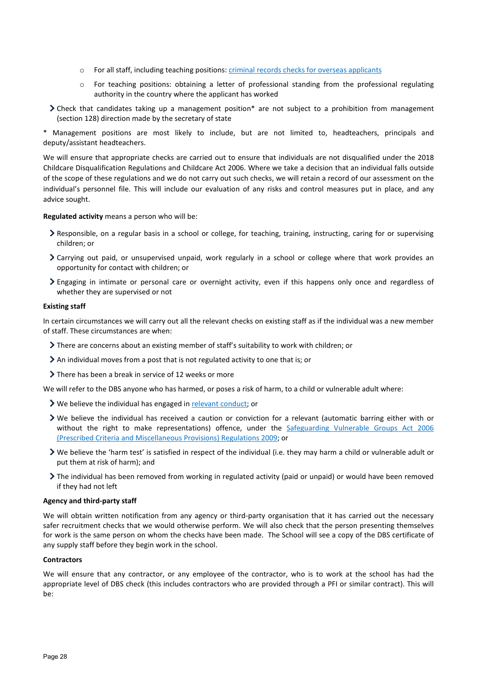- o For all staff, including teaching positions: [criminal records checks for overseas applicants](https://www.gov.uk/government/publications/criminal-records-checks-for-overseas-applicants)
- o For teaching positions: obtaining a letter of professional standing from the professional regulating authority in the country where the applicant has worked
- Check that candidates taking up a management position\* are not subject to a prohibition from management (section 128) direction made by the secretary of state

\* Management positions are most likely to include, but are not limited to, headteachers, principals and deputy/assistant headteachers.

We will ensure that appropriate checks are carried out to ensure that individuals are not disqualified under the 2018 Childcare Disqualification Regulations and Childcare Act 2006. Where we take a decision that an individual falls outside of the scope of these regulations and we do not carry out such checks, we will retain a record of our assessment on the individual's personnel file. This will include our evaluation of any risks and control measures put in place, and any advice sought.

**Regulated activity** means a person who will be:

- $\geq$  Responsible, on a regular basis in a school or college, for teaching, training, instructing, caring for or supervising children; or
- Carrying out paid, or unsupervised unpaid, work regularly in a school or college where that work provides an opportunity for contact with children; or
- Engaging in intimate or personal care or overnight activity, even if this happens only once and regardless of whether they are supervised or not

#### **Existing staff**

In certain circumstances we will carry out all the relevant checks on existing staff as if the individual was a new member of staff. These circumstances are when:

- There are concerns about an existing member of staff's suitability to work with children; or
- An individual moves from a post that is not regulated activity to one that is; or
- $\geq$  There has been a break in service of 12 weeks or more

We will refer to the DBS anyone who has harmed, or poses a risk of harm, to a child or vulnerable adult where:

- ▶ We believe the individual has engaged in [relevant conduct;](https://www.gov.uk/guidance/making-barring-referrals-to-the-dbs#relevant-conduct-in-relation-to-children) or
- $\geq$  We believe the individual has received a caution or conviction for a relevant (automatic barring either with or without the right to make representations) offence, under the [Safeguarding Vulnerable Groups Act 2006](http://www.legislation.gov.uk/uksi/2009/37/contents/made)  [\(Prescribed Criteria and Miscellaneous Provisions\) Regulations 2009;](http://www.legislation.gov.uk/uksi/2009/37/contents/made) or
- We believe the 'harm test' is satisfied in respect of the individual (i.e. they may harm a child or vulnerable adult or put them at risk of harm); and
- The individual has been removed from working in regulated activity (paid or unpaid) or would have been removed if they had not left

#### **Agency and third-party staff**

We will obtain written notification from any agency or third-party organisation that it has carried out the necessary safer recruitment checks that we would otherwise perform. We will also check that the person presenting themselves for work is the same person on whom the checks have been made. The School will see a copy of the DBS certificate of any supply staff before they begin work in the school.

#### **Contractors**

We will ensure that any contractor, or any employee of the contractor, who is to work at the school has had the appropriate level of DBS check (this includes contractors who are provided through a PFI or similar contract). This will be: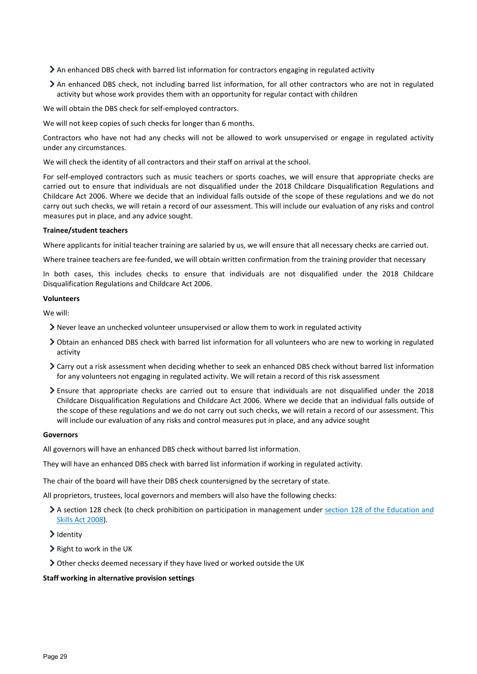- An enhanced DBS check with barred list information for contractors engaging in regulated activity
- An enhanced DBS check, not including barred list information, for all other contractors who are not in regulated activity but whose work provides them with an opportunity for regular contact with children

We will obtain the DBS check for self-employed contractors.

We will not keep copies of such checks for longer than 6 months.

Contractors who have not had any checks will not be allowed to work unsupervised or engage in regulated activity under any circumstances.

We will check the identity of all contractors and their staff on arrival at the school.

For self-employed contractors such as music teachers or sports coaches, we will ensure that appropriate checks are carried out to ensure that individuals are not disqualified under the 2018 Childcare Disqualification Regulations and Childcare Act 2006. Where we decide that an individual falls outside of the scope of these regulations and we do not carry out such checks, we will retain a record of our assessment. This will include our evaluation of any risks and control measures put in place, and any advice sought.

#### **Trainee/student teachers**

Where applicants for initial teacher training are salaried by us, we will ensure that all necessary checks are carried out.

Where trainee teachers are fee-funded, we will obtain written confirmation from the training provider that necessary

In both cases, this includes checks to ensure that individuals are not disqualified under the 2018 Childcare Disqualification Regulations and Childcare Act 2006.

#### **Volunteers**

We will:

- Never leave an unchecked volunteer unsupervised or allow them to work in regulated activity
- Obtain an enhanced DBS check with barred list information for all volunteers who are new to working in regulated activity
- Carry out a risk assessment when deciding whether to seek an enhanced DBS check without barred list information for any volunteers not engaging in regulated activity. We will retain a record of this risk assessment
- Ensure that appropriate checks are carried out to ensure that individuals are not disqualified under the 2018 Childcare Disqualification Regulations and Childcare Act 2006. Where we decide that an individual falls outside of the scope of these regulations and we do not carry out such checks, we will retain a record of our assessment. This will include our evaluation of any risks and control measures put in place, and any advice sought

#### **Governors**

All governors will have an enhanced DBS check without barred list information.

They will have an enhanced DBS check with barred list information if working in regulated activity.

The chair of the board will have their DBS check countersigned by the secretary of state.

All proprietors, trustees, local governors and members will also have the following checks:

- A section 128 check (to check prohibition on participation in management under section 128 of the Education and [Skills Act 2008\)](https://www.legislation.gov.uk/ukpga/2008/25/section/128).
- $\blacktriangleright$  Identity
- $\triangleright$  Right to work in the UK
- Other checks deemed necessary if they have lived or worked outside the UK

#### **Staff working in alternative provision settings**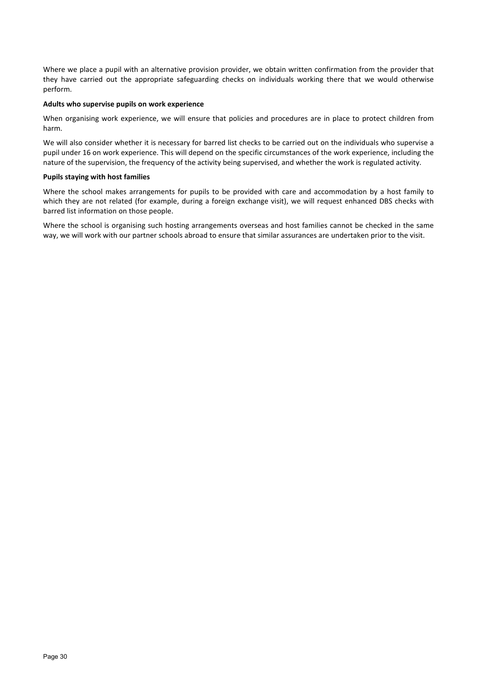Where we place a pupil with an alternative provision provider, we obtain written confirmation from the provider that they have carried out the appropriate safeguarding checks on individuals working there that we would otherwise perform.

#### **Adults who supervise pupils on work experience**

When organising work experience, we will ensure that policies and procedures are in place to protect children from harm.

We will also consider whether it is necessary for barred list checks to be carried out on the individuals who supervise a pupil under 16 on work experience. This will depend on the specific circumstances of the work experience, including the nature of the supervision, the frequency of the activity being supervised, and whether the work is regulated activity.

#### **Pupils staying with host families**

Where the school makes arrangements for pupils to be provided with care and accommodation by a host family to which they are not related (for example, during a foreign exchange visit), we will request enhanced DBS checks with barred list information on those people.

Where the school is organising such hosting arrangements overseas and host families cannot be checked in the same way, we will work with our partner schools abroad to ensure that similar assurances are undertaken prior to the visit.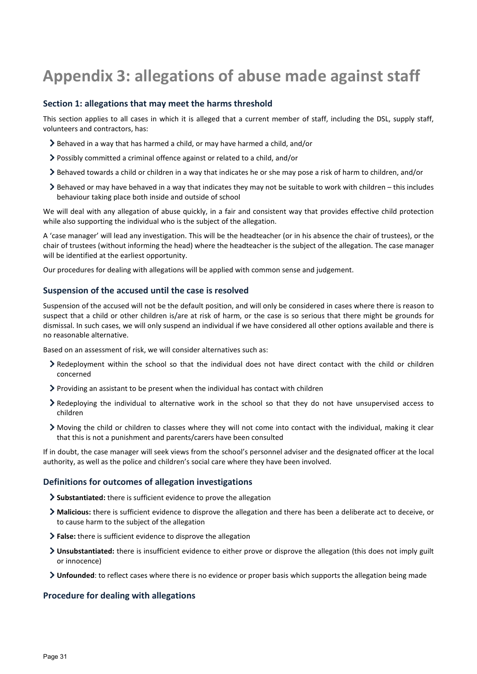## <span id="page-30-0"></span>**Appendix 3: allegations of abuse made against staff**

#### **Section 1: allegations that may meet the harms threshold**

This section applies to all cases in which it is alleged that a current member of staff, including the DSL, supply staff, volunteers and contractors, has:

- Behaved in a way that has harmed a child, or may have harmed a child, and/or
- Possibly committed a criminal offence against or related to a child, and/or
- Behaved towards a child or children in a way that indicates he or she may pose a risk of harm to children, and/or
- $\triangleright$  Behaved or may have behaved in a way that indicates they may not be suitable to work with children this includes behaviour taking place both inside and outside of school

We will deal with any allegation of abuse quickly, in a fair and consistent way that provides effective child protection while also supporting the individual who is the subject of the allegation.

A 'case manager' will lead any investigation. This will be the headteacher (or in his absence the chair of trustees), or the chair of trustees (without informing the head) where the headteacher is the subject of the allegation. The case manager will be identified at the earliest opportunity.

Our procedures for dealing with allegations will be applied with common sense and judgement.

#### **Suspension of the accused until the case is resolved**

Suspension of the accused will not be the default position, and will only be considered in cases where there is reason to suspect that a child or other children is/are at risk of harm, or the case is so serious that there might be grounds for dismissal. In such cases, we will only suspend an individual if we have considered all other options available and there is no reasonable alternative.

Based on an assessment of risk, we will consider alternatives such as:

- Redeployment within the school so that the individual does not have direct contact with the child or children concerned
- Providing an assistant to be present when the individual has contact with children
- Redeploying the individual to alternative work in the school so that they do not have unsupervised access to children
- Moving the child or children to classes where they will not come into contact with the individual, making it clear that this is not a punishment and parents/carers have been consulted

If in doubt, the case manager will seek views from the school's personnel adviser and the designated officer at the local authority, as well as the police and children's social care where they have been involved.

#### **Definitions for outcomes of allegation investigations**

- **Substantiated:** there is sufficient evidence to prove the allegation
- **Malicious:** there is sufficient evidence to disprove the allegation and there has been a deliberate act to deceive, or to cause harm to the subject of the allegation
- **False:** there is sufficient evidence to disprove the allegation
- **Unsubstantiated:** there is insufficient evidence to either prove or disprove the allegation (this does not imply guilt or innocence)
- **Unfounded**: to reflect cases where there is no evidence or proper basis which supports the allegation being made

#### **Procedure for dealing with allegations**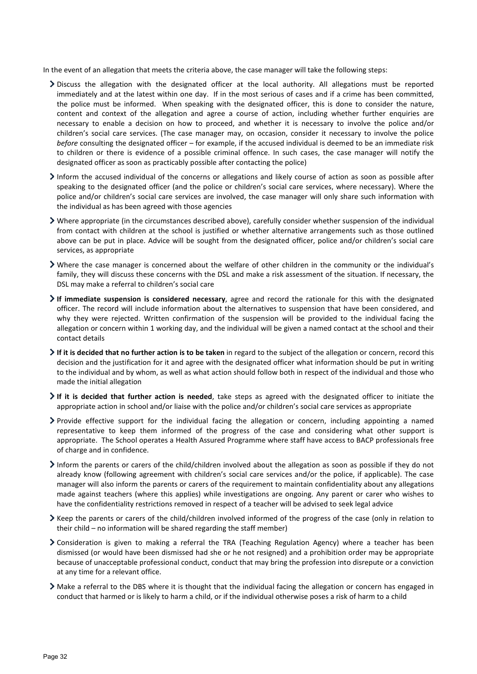In the event of an allegation that meets the criteria above, the case manager will take the following steps:

- Discuss the allegation with the designated officer at the local authority. All allegations must be reported immediately and at the latest within one day. If in the most serious of cases and if a crime has been committed, the police must be informed. When speaking with the designated officer, this is done to consider the nature, content and context of the allegation and agree a course of action, including whether further enquiries are necessary to enable a decision on how to proceed, and whether it is necessary to involve the police and/or children's social care services. (The case manager may, on occasion, consider it necessary to involve the police *before* consulting the designated officer – for example, if the accused individual is deemed to be an immediate risk to children or there is evidence of a possible criminal offence. In such cases, the case manager will notify the designated officer as soon as practicably possible after contacting the police)
- Inform the accused individual of the concerns or allegations and likely course of action as soon as possible after speaking to the designated officer (and the police or children's social care services, where necessary). Where the police and/or children's social care services are involved, the case manager will only share such information with the individual as has been agreed with those agencies
- Where appropriate (in the circumstances described above), carefully consider whether suspension of the individual from contact with children at the school is justified or whether alternative arrangements such as those outlined above can be put in place. Advice will be sought from the designated officer, police and/or children's social care services, as appropriate
- Where the case manager is concerned about the welfare of other children in the community or the individual's family, they will discuss these concerns with the DSL and make a risk assessment of the situation. If necessary, the DSL may make a referral to children's social care
- **If immediate suspension is considered necessary**, agree and record the rationale for this with the designated officer. The record will include information about the alternatives to suspension that have been considered, and why they were rejected. Written confirmation of the suspension will be provided to the individual facing the allegation or concern within 1 working day, and the individual will be given a named contact at the school and their contact details
- **If it is decided that no further action is to be taken** in regard to the subject of the allegation or concern, record this decision and the justification for it and agree with the designated officer what information should be put in writing to the individual and by whom, as well as what action should follow both in respect of the individual and those who made the initial allegation
- **If it is decided that further action is needed**, take steps as agreed with the designated officer to initiate the appropriate action in school and/or liaise with the police and/or children's social care services as appropriate
- Provide effective support for the individual facing the allegation or concern, including appointing a named representative to keep them informed of the progress of the case and considering what other support is appropriate. The School operates a Health Assured Programme where staff have access to BACP professionals free of charge and in confidence.
- Inform the parents or carers of the child/children involved about the allegation as soon as possible if they do not already know (following agreement with children's social care services and/or the police, if applicable). The case manager will also inform the parents or carers of the requirement to maintain confidentiality about any allegations made against teachers (where this applies) while investigations are ongoing. Any parent or carer who wishes to have the confidentiality restrictions removed in respect of a teacher will be advised to seek legal advice
- Keep the parents or carers of the child/children involved informed of the progress of the case (only in relation to their child – no information will be shared regarding the staff member)
- Consideration is given to making a referral the TRA (Teaching Regulation Agency) where a teacher has been dismissed (or would have been dismissed had she or he not resigned) and a prohibition order may be appropriate because of unacceptable professional conduct, conduct that may bring the profession into disrepute or a conviction at any time for a relevant office.
- Make a referral to the DBS where it is thought that the individual facing the allegation or concern has engaged in conduct that harmed or is likely to harm a child, or if the individual otherwise poses a risk of harm to a child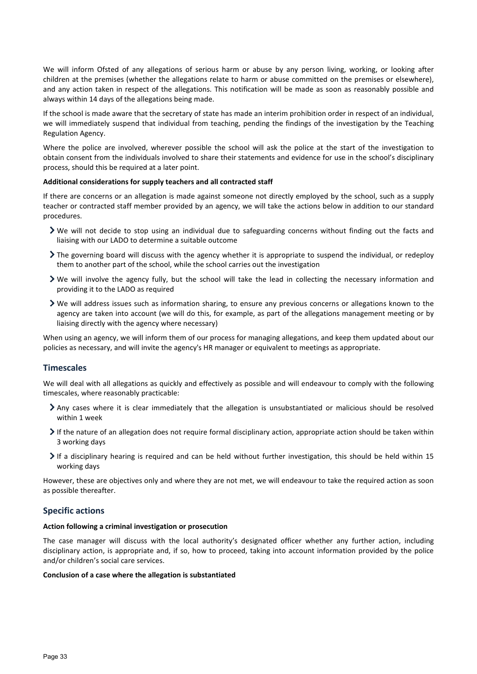We will inform Ofsted of any allegations of serious harm or abuse by any person living, working, or looking after children at the premises (whether the allegations relate to harm or abuse committed on the premises or elsewhere), and any action taken in respect of the allegations. This notification will be made as soon as reasonably possible and always within 14 days of the allegations being made.

If the school is made aware that the secretary of state has made an interim prohibition order in respect of an individual, we will immediately suspend that individual from teaching, pending the findings of the investigation by the Teaching Regulation Agency.

Where the police are involved, wherever possible the school will ask the police at the start of the investigation to obtain consent from the individuals involved to share their statements and evidence for use in the school's disciplinary process, should this be required at a later point.

#### **Additional considerations for supply teachers and all contracted staff**

If there are concerns or an allegation is made against someone not directly employed by the school, such as a supply teacher or contracted staff member provided by an agency, we will take the actions below in addition to our standard procedures.

- We will not decide to stop using an individual due to safeguarding concerns without finding out the facts and liaising with our LADO to determine a suitable outcome
- The governing board will discuss with the agency whether it is appropriate to suspend the individual, or redeploy them to another part of the school, while the school carries out the investigation
- We will involve the agency fully, but the school will take the lead in collecting the necessary information and providing it to the LADO as required
- We will address issues such as information sharing, to ensure any previous concerns or allegations known to the agency are taken into account (we will do this, for example, as part of the allegations management meeting or by liaising directly with the agency where necessary)

When using an agency, we will inform them of our process for managing allegations, and keep them updated about our policies as necessary, and will invite the agency's HR manager or equivalent to meetings as appropriate.

## **Timescales**

We will deal with all allegations as quickly and effectively as possible and will endeavour to comply with the following timescales, where reasonably practicable:

- Any cases where it is clear immediately that the allegation is unsubstantiated or malicious should be resolved within 1 week
- $\triangleright$  If the nature of an allegation does not require formal disciplinary action, appropriate action should be taken within 3 working days
- If a disciplinary hearing is required and can be held without further investigation, this should be held within 15 working days

However, these are objectives only and where they are not met, we will endeavour to take the required action as soon as possible thereafter.

## **Specific actions**

#### **Action following a criminal investigation or prosecution**

The case manager will discuss with the local authority's designated officer whether any further action, including disciplinary action, is appropriate and, if so, how to proceed, taking into account information provided by the police and/or children's social care services.

#### **Conclusion of a case where the allegation is substantiated**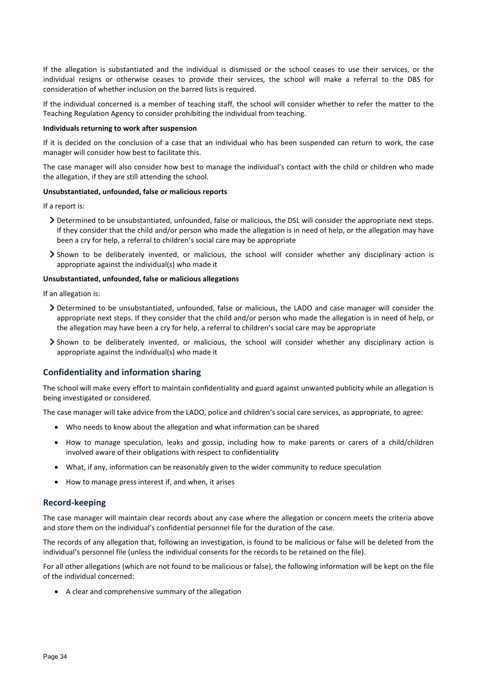If the allegation is substantiated and the individual is dismissed or the school ceases to use their services, or the individual resigns or otherwise ceases to provide their services, the school will make a referral to the DBS for consideration of whether inclusion on the barred lists is required.

If the individual concerned is a member of teaching staff, the school will consider whether to refer the matter to the Teaching Regulation Agency to consider prohibiting the individual from teaching.

#### **Individuals returning to work after suspension**

If it is decided on the conclusion of a case that an individual who has been suspended can return to work, the case manager will consider how best to facilitate this.

The case manager will also consider how best to manage the individual's contact with the child or children who made the allegation, if they are still attending the school.

#### **Unsubstantiated, unfounded, false or malicious reports**

If a report is:

- Determined to be unsubstantiated, unfounded, false or malicious, the DSL will consider the appropriate next steps. If they consider that the child and/or person who made the allegation is in need of help, or the allegation may have been a cry for help, a referral to children's social care may be appropriate
- Shown to be deliberately invented, or malicious, the school will consider whether any disciplinary action is appropriate against the individual(s) who made it

#### **Unsubstantiated, unfounded, false or malicious allegations**

If an allegation is:

- Determined to be unsubstantiated, unfounded, false or malicious, the LADO and case manager will consider the appropriate next steps. If they consider that the child and/or person who made the allegation is in need of help, or the allegation may have been a cry for help, a referral to children's social care may be appropriate
- Shown to be deliberately invented, or malicious, the school will consider whether any disciplinary action is appropriate against the individual(s) who made it

## **Confidentiality and information sharing**

The school will make every effort to maintain confidentiality and guard against unwanted publicity while an allegation is being investigated or considered.

The case manager will take advice from the LADO, police and children's social care services, as appropriate, to agree:

- Who needs to know about the allegation and what information can be shared
- How to manage speculation, leaks and gossip, including how to make parents or carers of a child/children involved aware of their obligations with respect to confidentiality
- What, if any, information can be reasonably given to the wider community to reduce speculation
- How to manage press interest if, and when, it arises

## **Record-keeping**

The case manager will maintain clear records about any case where the allegation or concern meets the criteria above and store them on the individual's confidential personnel file for the duration of the case.

The records of any allegation that, following an investigation, is found to be malicious or false will be deleted from the individual's personnel file (unless the individual consents for the records to be retained on the file).

For all other allegations (which are not found to be malicious or false), the following information will be kept on the file of the individual concerned:

• A clear and comprehensive summary of the allegation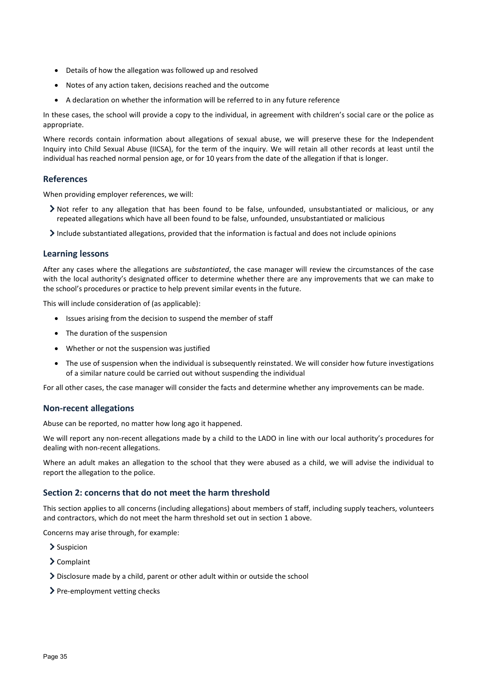- Details of how the allegation was followed up and resolved
- Notes of any action taken, decisions reached and the outcome
- A declaration on whether the information will be referred to in any future reference

In these cases, the school will provide a copy to the individual, in agreement with children's social care or the police as appropriate.

Where records contain information about allegations of sexual abuse, we will preserve these for the Independent Inquiry into Child Sexual Abuse (IICSA), for the term of the inquiry. We will retain all other records at least until the individual has reached normal pension age, or for 10 years from the date of the allegation if that is longer.

## **References**

When providing employer references, we will:

- Not refer to any allegation that has been found to be false, unfounded, unsubstantiated or malicious, or any repeated allegations which have all been found to be false, unfounded, unsubstantiated or malicious
- $\geq$  Include substantiated allegations, provided that the information is factual and does not include opinions

#### **Learning lessons**

After any cases where the allegations are *substantiated*, the case manager will review the circumstances of the case with the local authority's designated officer to determine whether there are any improvements that we can make to the school's procedures or practice to help prevent similar events in the future.

This will include consideration of (as applicable):

- Issues arising from the decision to suspend the member of staff
- The duration of the suspension
- Whether or not the suspension was justified
- The use of suspension when the individual is subsequently reinstated. We will consider how future investigations of a similar nature could be carried out without suspending the individual

For all other cases, the case manager will consider the facts and determine whether any improvements can be made.

#### **Non-recent allegations**

Abuse can be reported, no matter how long ago it happened.

We will report any non-recent allegations made by a child to the LADO in line with our local authority's procedures for dealing with non-recent allegations.

Where an adult makes an allegation to the school that they were abused as a child, we will advise the individual to report the allegation to the police.

#### **Section 2: concerns that do not meet the harm threshold**

This section applies to all concerns (including allegations) about members of staff, including supply teachers, volunteers and contractors, which do not meet the harm threshold set out in section 1 above.

Concerns may arise through, for example:

- > Suspicion
- Complaint
- Disclosure made by a child, parent or other adult within or outside the school
- > Pre-employment vetting checks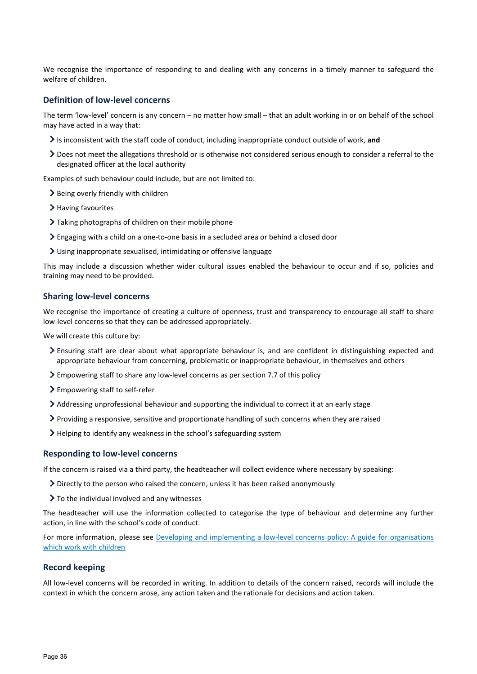We recognise the importance of responding to and dealing with any concerns in a timely manner to safeguard the welfare of children.

#### **Definition of low-level concerns**

The term 'low-level' concern is any concern – no matter how small – that an adult working in or on behalf of the school may have acted in a way that:

- Is inconsistent with the staff code of conduct, including inappropriate conduct outside of work, **and**
- Does not meet the allegations threshold or is otherwise not considered serious enough to consider a referral to the designated officer at the local authority

Examples of such behaviour could include, but are not limited to:

- $\geq$  Being overly friendly with children
- > Having favourites
- Taking photographs of children on their mobile phone
- Engaging with a child on a one-to-one basis in a secluded area or behind a closed door
- Using inappropriate sexualised, intimidating or offensive language

This may include a discussion whether wider cultural issues enabled the behaviour to occur and if so, policies and training may need to be provided.

#### **Sharing low-level concerns**

We recognise the importance of creating a culture of openness, trust and transparency to encourage all staff to share low-level concerns so that they can be addressed appropriately.

We will create this culture by:

- Ensuring staff are clear about what appropriate behaviour is, and are confident in distinguishing expected and appropriate behaviour from concerning, problematic or inappropriate behaviour, in themselves and others
- Empowering staff to share any low-level concerns as per section 7.7 of this policy
- > Empowering staff to self-refer
- Addressing unprofessional behaviour and supporting the individual to correct it at an early stage
- Providing a responsive, sensitive and proportionate handling of such concerns when they are raised
- Helping to identify any weakness in the school's safeguarding system

#### **Responding to low-level concerns**

If the concern is raised via a third party, the headteacher will collect evidence where necessary by speaking:

- Directly to the person who raised the concern, unless it has been raised anonymously
- > To the individual involved and any witnesses

The headteacher will use the information collected to categorise the type of behaviour and determine any further action, in line with the school's code of conduct.

For more information, please see Developing and implementing a low-level concerns policy: A guide for organisations [which work with children](https://www.farrer.co.uk/news-and-insights/developing-and-implementing-a-low-level-concerns-policy-a-guide-for-organisations-which-work-with-children/)

#### **Record keeping**

All low-level concerns will be recorded in writing. In addition to details of the concern raised, records will include the context in which the concern arose, any action taken and the rationale for decisions and action taken.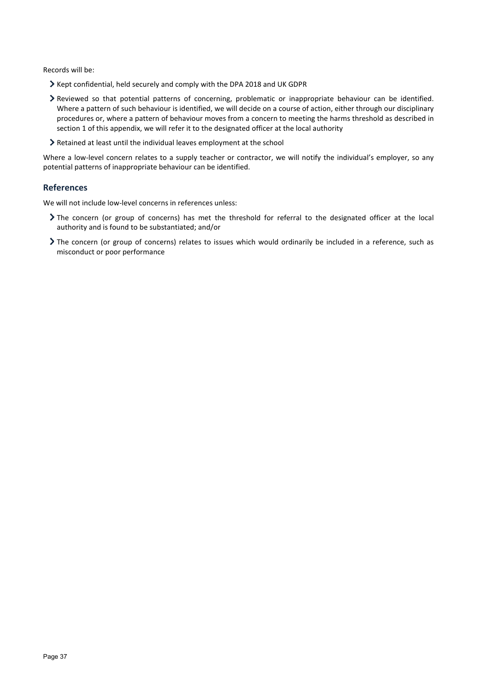Records will be:

- Kept confidential, held securely and comply with the DPA 2018 and UK GDPR
- Reviewed so that potential patterns of concerning, problematic or inappropriate behaviour can be identified. Where a pattern of such behaviour is identified, we will decide on a course of action, either through our disciplinary procedures or, where a pattern of behaviour moves from a concern to meeting the harms threshold as described in section 1 of this appendix, we will refer it to the designated officer at the local authority
- Retained at least until the individual leaves employment at the school

Where a low-level concern relates to a supply teacher or contractor, we will notify the individual's employer, so any potential patterns of inappropriate behaviour can be identified.

#### **References**

We will not include low-level concerns in references unless:

- The concern (or group of concerns) has met the threshold for referral to the designated officer at the local authority and is found to be substantiated; and/or
- The concern (or group of concerns) relates to issues which would ordinarily be included in a reference, such as misconduct or poor performance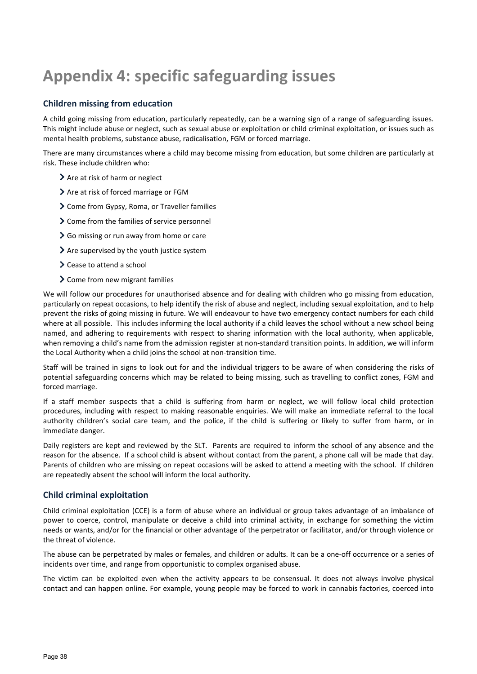## <span id="page-37-0"></span>**Appendix 4: specific safeguarding issues**

## **Children missing from education**

A child going missing from education, particularly repeatedly, can be a warning sign of a range of safeguarding issues. This might include abuse or neglect, such as sexual abuse or exploitation or child criminal exploitation, or issues such as mental health problems, substance abuse, radicalisation, FGM or forced marriage.

There are many circumstances where a child may become missing from education, but some children are particularly at risk. These include children who:

- > Are at risk of harm or neglect
- > Are at risk of forced marriage or FGM
- Come from Gypsy, Roma, or Traveller families
- > Come from the families of service personnel
- Go missing or run away from home or care
- $\sum$  Are supervised by the youth justice system
- **>** Cease to attend a school
- > Come from new migrant families

We will follow our procedures for unauthorised absence and for dealing with children who go missing from education, particularly on repeat occasions, to help identify the risk of abuse and neglect, including sexual exploitation, and to help prevent the risks of going missing in future. We will endeavour to have two emergency contact numbers for each child where at all possible. This includes informing the local authority if a child leaves the school without a new school being named, and adhering to requirements with respect to sharing information with the local authority, when applicable, when removing a child's name from the admission register at non-standard transition points. In addition, we will inform the Local Authority when a child joins the school at non-transition time.

Staff will be trained in signs to look out for and the individual triggers to be aware of when considering the risks of potential safeguarding concerns which may be related to being missing, such as travelling to conflict zones, FGM and forced marriage.

If a staff member suspects that a child is suffering from harm or neglect, we will follow local child protection procedures, including with respect to making reasonable enquiries. We will make an immediate referral to the local authority children's social care team, and the police, if the child is suffering or likely to suffer from harm, or in immediate danger.

Daily registers are kept and reviewed by the SLT. Parents are required to inform the school of any absence and the reason for the absence. If a school child is absent without contact from the parent, a phone call will be made that day. Parents of children who are missing on repeat occasions will be asked to attend a meeting with the school. If children are repeatedly absent the school will inform the local authority.

## **Child criminal exploitation**

Child criminal exploitation (CCE) is a form of abuse where an individual or group takes advantage of an imbalance of power to coerce, control, manipulate or deceive a child into criminal activity, in exchange for something the victim needs or wants, and/or for the financial or other advantage of the perpetrator or facilitator, and/or through violence or the threat of violence.

The abuse can be perpetrated by males or females, and children or adults. It can be a one-off occurrence or a series of incidents over time, and range from opportunistic to complex organised abuse.

The victim can be exploited even when the activity appears to be consensual. It does not always involve physical contact and can happen online. For example, young people may be forced to work in cannabis factories, coerced into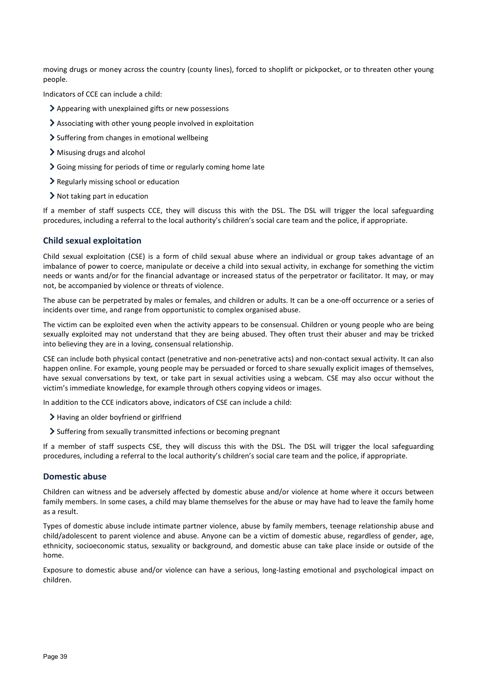moving drugs or money across the country (county lines), forced to shoplift or pickpocket, or to threaten other young people.

Indicators of CCE can include a child:

- Appearing with unexplained gifts or new possessions
- Associating with other young people involved in exploitation
- $\geq$  Suffering from changes in emotional wellbeing
- Misusing drugs and alcohol
- Going missing for periods of time or regularly coming home late
- $\geq$  Regularly missing school or education
- Not taking part in education

If a member of staff suspects CCE, they will discuss this with the DSL. The DSL will trigger the local safeguarding procedures, including a referral to the local authority's children's social care team and the police, if appropriate.

## **Child sexual exploitation**

Child sexual exploitation (CSE) is a form of child sexual abuse where an individual or group takes advantage of an imbalance of power to coerce, manipulate or deceive a child into sexual activity, in exchange for something the victim needs or wants and/or for the financial advantage or increased status of the perpetrator or facilitator. It may, or may not, be accompanied by violence or threats of violence.

The abuse can be perpetrated by males or females, and children or adults. It can be a one-off occurrence or a series of incidents over time, and range from opportunistic to complex organised abuse.

The victim can be exploited even when the activity appears to be consensual. Children or young people who are being sexually exploited may not understand that they are being abused. They often trust their abuser and may be tricked into believing they are in a loving, consensual relationship.

CSE can include both physical contact (penetrative and non-penetrative acts) and non-contact sexual activity. It can also happen online. For example, young people may be persuaded or forced to share sexually explicit images of themselves, have sexual conversations by text, or take part in sexual activities using a webcam. CSE may also occur without the victim's immediate knowledge, for example through others copying videos or images.

In addition to the CCE indicators above, indicators of CSE can include a child:

- > Having an older boyfriend or girlfriend
- Suffering from sexually transmitted infections or becoming pregnant

If a member of staff suspects CSE, they will discuss this with the DSL. The DSL will trigger the local safeguarding procedures, including a referral to the local authority's children's social care team and the police, if appropriate.

#### **Domestic abuse**

Children can witness and be adversely affected by domestic abuse and/or violence at home where it occurs between family members. In some cases, a child may blame themselves for the abuse or may have had to leave the family home as a result.

Types of domestic abuse include intimate partner violence, abuse by family members, teenage relationship abuse and child/adolescent to parent violence and abuse. Anyone can be a victim of domestic abuse, regardless of gender, age, ethnicity, socioeconomic status, sexuality or background, and domestic abuse can take place inside or outside of the home.

Exposure to domestic abuse and/or violence can have a serious, long-lasting emotional and psychological impact on children.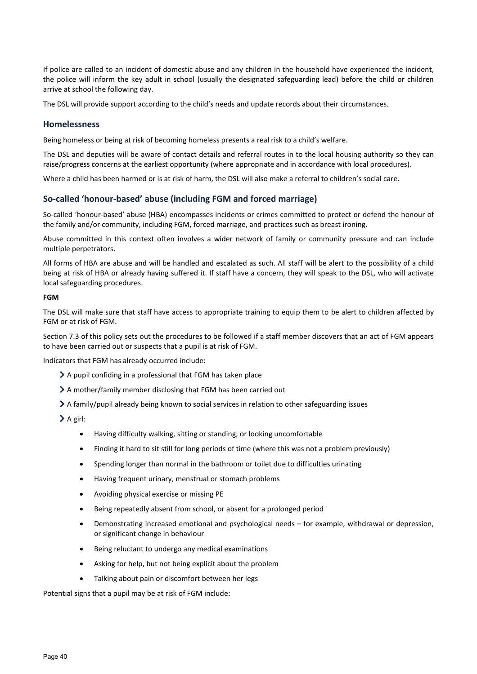If police are called to an incident of domestic abuse and any children in the household have experienced the incident, the police will inform the key adult in school (usually the designated safeguarding lead) before the child or children arrive at school the following day.

The DSL will provide support according to the child's needs and update records about their circumstances.

#### **Homelessness**

Being homeless or being at risk of becoming homeless presents a real risk to a child's welfare.

The DSL and deputies will be aware of contact details and referral routes in to the local housing authority so they can raise/progress concerns at the earliest opportunity (where appropriate and in accordance with local procedures).

Where a child has been harmed or is at risk of harm, the DSL will also make a referral to children's social care.

#### **So-called 'honour-based' abuse (including FGM and forced marriage)**

So-called 'honour-based' abuse (HBA) encompasses incidents or crimes committed to protect or defend the honour of the family and/or community, including FGM, forced marriage, and practices such as breast ironing.

Abuse committed in this context often involves a wider network of family or community pressure and can include multiple perpetrators.

All forms of HBA are abuse and will be handled and escalated as such. All staff will be alert to the possibility of a child being at risk of HBA or already having suffered it. If staff have a concern, they will speak to the DSL, who will activate local safeguarding procedures.

#### **FGM**

The DSL will make sure that staff have access to appropriate training to equip them to be alert to children affected by FGM or at risk of FGM.

Section 7.3 of this policy sets out the procedures to be followed if a staff member discovers that an act of FGM appears to have been carried out or suspects that a pupil is at risk of FGM.

Indicators that FGM has already occurred include:

- A pupil confiding in a professional that FGM has taken place
- A mother/family member disclosing that FGM has been carried out
- A family/pupil already being known to social services in relation to other safeguarding issues
- $\sum A$  girl:
	- Having difficulty walking, sitting or standing, or looking uncomfortable
	- Finding it hard to sit still for long periods of time (where this was not a problem previously)
	- Spending longer than normal in the bathroom or toilet due to difficulties urinating
	- Having frequent urinary, menstrual or stomach problems
	- Avoiding physical exercise or missing PE
	- Being repeatedly absent from school, or absent for a prolonged period
	- Demonstrating increased emotional and psychological needs for example, withdrawal or depression, or significant change in behaviour
	- Being reluctant to undergo any medical examinations
	- Asking for help, but not being explicit about the problem
	- Talking about pain or discomfort between her legs

Potential signs that a pupil may be at risk of FGM include: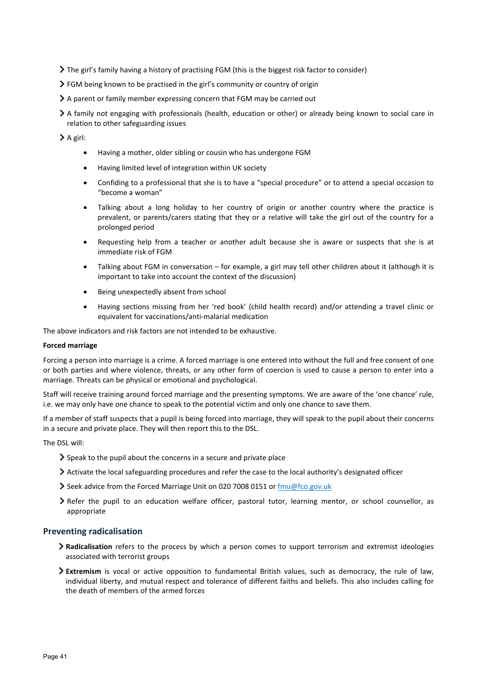- The girl's family having a history of practising FGM (this is the biggest risk factor to consider)
- FGM being known to be practised in the girl's community or country of origin
- A parent or family member expressing concern that FGM may be carried out
- A family not engaging with professionals (health, education or other) or already being known to social care in relation to other safeguarding issues

> A girl:

- Having a mother, older sibling or cousin who has undergone FGM
- Having limited level of integration within UK society
- Confiding to a professional that she is to have a "special procedure" or to attend a special occasion to "become a woman"
- Talking about a long holiday to her country of origin or another country where the practice is prevalent, or parents/carers stating that they or a relative will take the girl out of the country for a prolonged period
- Requesting help from a teacher or another adult because she is aware or suspects that she is at immediate risk of FGM
- Talking about FGM in conversation for example, a girl may tell other children about it (although it is important to take into account the context of the discussion)
- Being unexpectedly absent from school
- Having sections missing from her 'red book' (child health record) and/or attending a travel clinic or equivalent for vaccinations/anti-malarial medication

The above indicators and risk factors are not intended to be exhaustive.

#### **Forced marriage**

Forcing a person into marriage is a crime. A forced marriage is one entered into without the full and free consent of one or both parties and where violence, threats, or any other form of coercion is used to cause a person to enter into a marriage. Threats can be physical or emotional and psychological.

Staff will receive training around forced marriage and the presenting symptoms. We are aware of the 'one chance' rule, i.e. we may only have one chance to speak to the potential victim and only one chance to save them.

If a member of staff suspects that a pupil is being forced into marriage, they will speak to the pupil about their concerns in a secure and private place. They will then report this to the DSL.

The DSL will:

- $\geq$  Speak to the pupil about the concerns in a secure and private place
- Activate the local safeguarding procedures and refer the case to the local authority's designated officer
- Seek advice from the Forced Marriage Unit on 020 7008 0151 o[r fmu@fco.gov.uk](mailto:fmu@fco.gov.uk)
- Refer the pupil to an education welfare officer, pastoral tutor, learning mentor, or school counsellor, as appropriate

## **Preventing radicalisation**

- **Radicalisation** refers to the process by which a person comes to support terrorism and extremist ideologies associated with terrorist groups
- **Extremism** is vocal or active opposition to fundamental British values, such as democracy, the rule of law, individual liberty, and mutual respect and tolerance of different faiths and beliefs. This also includes calling for the death of members of the armed forces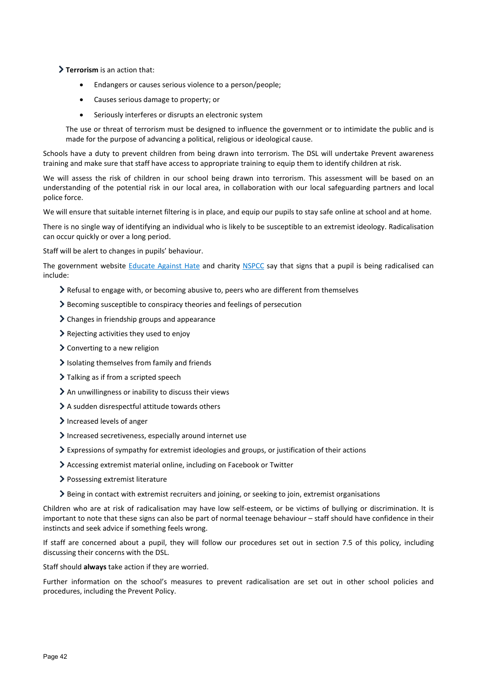**Terrorism** is an action that:

- Endangers or causes serious violence to a person/people;
- Causes serious damage to property; or
- Seriously interferes or disrupts an electronic system

The use or threat of terrorism must be designed to influence the government or to intimidate the public and is made for the purpose of advancing a political, religious or ideological cause.

Schools have a duty to prevent children from being drawn into terrorism. The DSL will undertake Prevent awareness training and make sure that staff have access to appropriate training to equip them to identify children at risk.

We will assess the risk of children in our school being drawn into terrorism. This assessment will be based on an understanding of the potential risk in our local area, in collaboration with our local safeguarding partners and local police force.

We will ensure that suitable internet filtering is in place, and equip our pupils to stay safe online at school and at home.

There is no single way of identifying an individual who is likely to be susceptible to an extremist ideology. Radicalisation can occur quickly or over a long period.

Staff will be alert to changes in pupils' behaviour.

The government website [Educate Against Hate](http://educateagainsthate.com/parents/what-are-the-warning-signs/) and charity [NSPCC](https://www.nspcc.org.uk/what-you-can-do/report-abuse/dedicated-helplines/protecting-children-from-radicalisation/) say that signs that a pupil is being radicalised can include:

- $\geq$  Refusal to engage with, or becoming abusive to, peers who are different from themselves
- Becoming susceptible to conspiracy theories and feelings of persecution
- > Changes in friendship groups and appearance
- Rejecting activities they used to enjoy
- > Converting to a new religion
- $\blacktriangleright$  Isolating themselves from family and friends
- > Talking as if from a scripted speech
- $\geq$  An unwillingness or inability to discuss their views
- A sudden disrespectful attitude towards others
- Increased levels of anger
- Increased secretiveness, especially around internet use
- Expressions of sympathy for extremist ideologies and groups, or justification of their actions
- Accessing extremist material online, including on Facebook or Twitter
- > Possessing extremist literature
- Being in contact with extremist recruiters and joining, or seeking to join, extremist organisations

Children who are at risk of radicalisation may have low self-esteem, or be victims of bullying or discrimination. It is important to note that these signs can also be part of normal teenage behaviour – staff should have confidence in their instincts and seek advice if something feels wrong.

If staff are concerned about a pupil, they will follow our procedures set out in section 7.5 of this policy, including discussing their concerns with the DSL.

Staff should **always** take action if they are worried.

Further information on the school's measures to prevent radicalisation are set out in other school policies and procedures, including the Prevent Policy.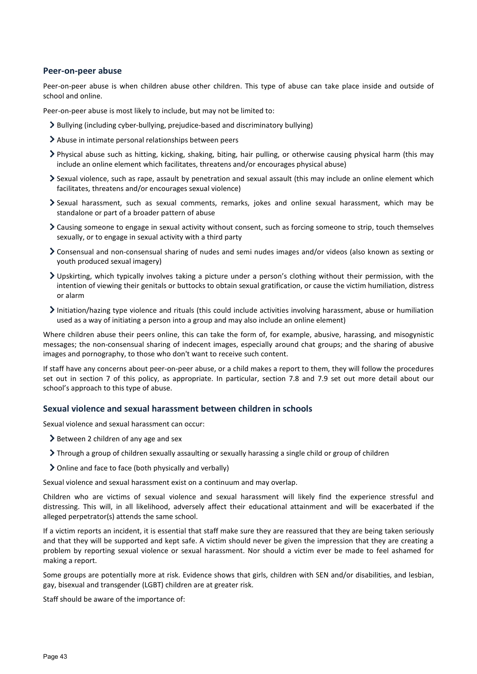#### **Peer-on-peer abuse**

Peer-on-peer abuse is when children abuse other children. This type of abuse can take place inside and outside of school and online.

Peer-on-peer abuse is most likely to include, but may not be limited to:

- Bullying (including cyber-bullying, prejudice-based and discriminatory bullying)
- Abuse in intimate personal relationships between peers
- Physical abuse such as hitting, kicking, shaking, biting, hair pulling, or otherwise causing physical harm (this may include an online element which facilitates, threatens and/or encourages physical abuse)
- Sexual violence, such as rape, assault by penetration and sexual assault (this may include an online element which facilitates, threatens and/or encourages sexual violence)
- Sexual harassment, such as sexual comments, remarks, jokes and online sexual harassment, which may be standalone or part of a broader pattern of abuse
- Causing someone to engage in sexual activity without consent, such as forcing someone to strip, touch themselves sexually, or to engage in sexual activity with a third party
- Consensual and non-consensual sharing of nudes and semi nudes images and/or videos (also known as sexting or youth produced sexual imagery)
- Upskirting, which typically involves taking a picture under a person's clothing without their permission, with the intention of viewing their genitals or buttocks to obtain sexual gratification, or cause the victim humiliation, distress or alarm
- Initiation/hazing type violence and rituals (this could include activities involving harassment, abuse or humiliation used as a way of initiating a person into a group and may also include an online element)

Where children abuse their peers online, this can take the form of, for example, abusive, harassing, and misogynistic messages; the non-consensual sharing of indecent images, especially around chat groups; and the sharing of abusive images and pornography, to those who don't want to receive such content.

If staff have any concerns about peer-on-peer abuse, or a child makes a report to them, they will follow the procedures set out in section 7 of this policy, as appropriate. In particular, section 7.8 and 7.9 set out more detail about our school's approach to this type of abuse.

#### **Sexual violence and sexual harassment between children in schools**

Sexual violence and sexual harassment can occur:

- $\geq$  Between 2 children of any age and sex
- If Through a group of children sexually assaulting or sexually harassing a single child or group of children
- Online and face to face (both physically and verbally)

Sexual violence and sexual harassment exist on a continuum and may overlap.

Children who are victims of sexual violence and sexual harassment will likely find the experience stressful and distressing. This will, in all likelihood, adversely affect their educational attainment and will be exacerbated if the alleged perpetrator(s) attends the same school.

If a victim reports an incident, it is essential that staff make sure they are reassured that they are being taken seriously and that they will be supported and kept safe. A victim should never be given the impression that they are creating a problem by reporting sexual violence or sexual harassment. Nor should a victim ever be made to feel ashamed for making a report.

Some groups are potentially more at risk. Evidence shows that girls, children with SEN and/or disabilities, and lesbian, gay, bisexual and transgender (LGBT) children are at greater risk.

Staff should be aware of the importance of: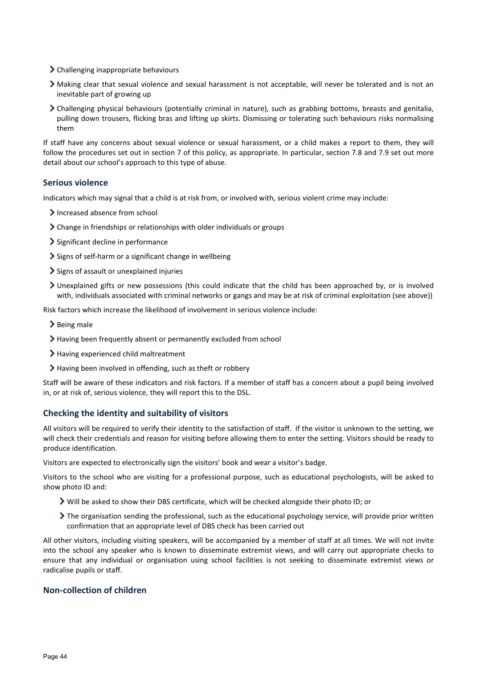- > Challenging inappropriate behaviours
- Making clear that sexual violence and sexual harassment is not acceptable, will never be tolerated and is not an inevitable part of growing up
- Challenging physical behaviours (potentially criminal in nature), such as grabbing bottoms, breasts and genitalia, pulling down trousers, flicking bras and lifting up skirts. Dismissing or tolerating such behaviours risks normalising them

If staff have any concerns about sexual violence or sexual harassment, or a child makes a report to them, they will follow the procedures set out in section 7 of this policy, as appropriate. In particular, section 7.8 and 7.9 set out more detail about our school's approach to this type of abuse.

#### **Serious violence**

Indicators which may signal that a child is at risk from, or involved with, serious violent crime may include:

- > Increased absence from school
- Change in friendships or relationships with older individuals or groups
- > Significant decline in performance
- $\geq$  Signs of self-harm or a significant change in wellbeing
- $\sum$  Signs of assault or unexplained injuries
- Unexplained gifts or new possessions (this could indicate that the child has been approached by, or is involved with, individuals associated with criminal networks or gangs and may be at risk of criminal exploitation (see above))

Risk factors which increase the likelihood of involvement in serious violence include:

- $\blacktriangleright$  Being male
- Having been frequently absent or permanently excluded from school
- > Having experienced child maltreatment
- Having been involved in offending, such as theft or robbery

Staff will be aware of these indicators and risk factors. If a member of staff has a concern about a pupil being involved in, or at risk of, serious violence, they will report this to the DSL.

#### **Checking the identity and suitability of visitors**

All visitors will be required to verify their identity to the satisfaction of staff. If the visitor is unknown to the setting, we will check their credentials and reason for visiting before allowing them to enter the setting. Visitors should be ready to produce identification.

Visitors are expected to electronically sign the visitors' book and wear a visitor's badge.

Visitors to the school who are visiting for a professional purpose, such as educational psychologists, will be asked to show photo ID and:

- Will be asked to show their DBS certificate, which will be checked alongside their photo ID; or
- The organisation sending the professional, such as the educational psychology service, will provide prior written confirmation that an appropriate level of DBS check has been carried out

All other visitors, including visiting speakers, will be accompanied by a member of staff at all times. We will not invite into the school any speaker who is known to disseminate extremist views, and will carry out appropriate checks to ensure that any individual or organisation using school facilities is not seeking to disseminate extremist views or radicalise pupils or staff.

#### **Non-collection of children**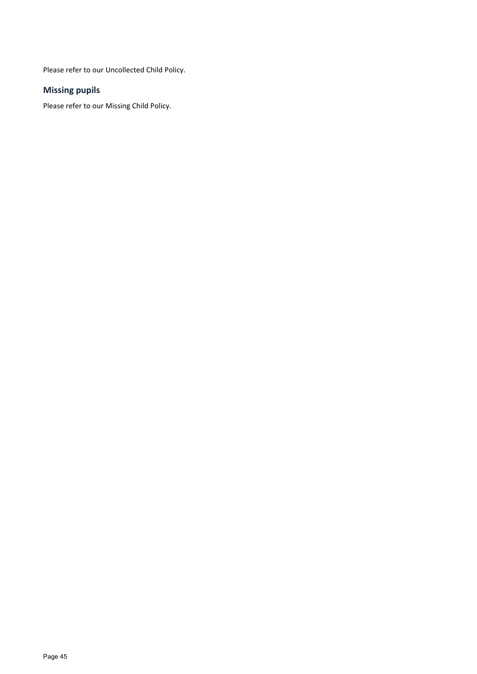Please refer to our Uncollected Child Policy.

## **Missing pupils**

Please refer to our Missing Child Policy.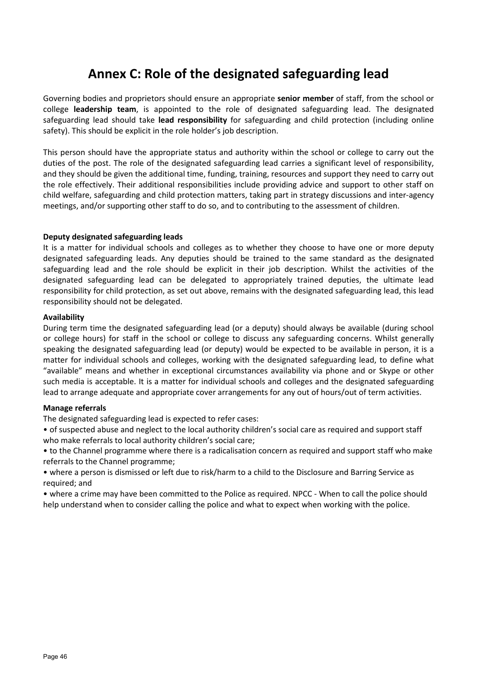## **Annex C: Role of the designated safeguarding lead**

Governing bodies and proprietors should ensure an appropriate **senior member** of staff, from the school or college **leadership team**, is appointed to the role of designated safeguarding lead. The designated safeguarding lead should take **lead responsibility** for safeguarding and child protection (including online safety). This should be explicit in the role holder's job description.

This person should have the appropriate status and authority within the school or college to carry out the duties of the post. The role of the designated safeguarding lead carries a significant level of responsibility, and they should be given the additional time, funding, training, resources and support they need to carry out the role effectively. Their additional responsibilities include providing advice and support to other staff on child welfare, safeguarding and child protection matters, taking part in strategy discussions and inter-agency meetings, and/or supporting other staff to do so, and to contributing to the assessment of children.

## **Deputy designated safeguarding leads**

It is a matter for individual schools and colleges as to whether they choose to have one or more deputy designated safeguarding leads. Any deputies should be trained to the same standard as the designated safeguarding lead and the role should be explicit in their job description. Whilst the activities of the designated safeguarding lead can be delegated to appropriately trained deputies, the ultimate lead responsibility for child protection, as set out above, remains with the designated safeguarding lead, this lead responsibility should not be delegated.

## **Availability**

During term time the designated safeguarding lead (or a deputy) should always be available (during school or college hours) for staff in the school or college to discuss any safeguarding concerns. Whilst generally speaking the designated safeguarding lead (or deputy) would be expected to be available in person, it is a matter for individual schools and colleges, working with the designated safeguarding lead, to define what "available" means and whether in exceptional circumstances availability via phone and or Skype or other such media is acceptable. It is a matter for individual schools and colleges and the designated safeguarding lead to arrange adequate and appropriate cover arrangements for any out of hours/out of term activities.

## **Manage referrals**

The designated safeguarding lead is expected to refer cases:

- of suspected abuse and neglect to the local authority children's social care as required and support staff who make referrals to local authority children's social care;
- to the Channel programme where there is a radicalisation concern as required and support staff who make referrals to the Channel programme;
- where a person is dismissed or left due to risk/harm to a child to the Disclosure and Barring Service as required; and
- where a crime may have been committed to the Police as required. NPCC When to call the police should help understand when to consider calling the police and what to expect when working with the police.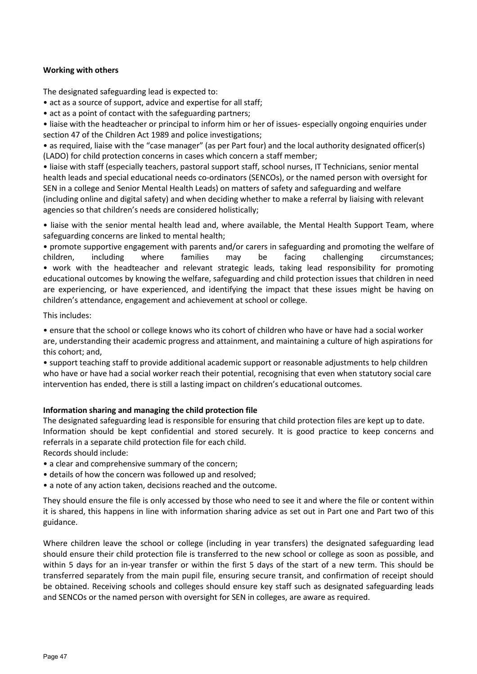## **Working with others**

The designated safeguarding lead is expected to:

• act as a source of support, advice and expertise for all staff;

• act as a point of contact with the safeguarding partners;

• liaise with the headteacher or principal to inform him or her of issues- especially ongoing enquiries under section 47 of the Children Act 1989 and police investigations;

• as required, liaise with the "case manager" (as per Part four) and the local authority designated officer(s) (LADO) for child protection concerns in cases which concern a staff member;

• liaise with staff (especially teachers, pastoral support staff, school nurses, IT Technicians, senior mental health leads and special educational needs co-ordinators (SENCOs), or the named person with oversight for SEN in a college and Senior Mental Health Leads) on matters of safety and safeguarding and welfare (including online and digital safety) and when deciding whether to make a referral by liaising with relevant agencies so that children's needs are considered holistically;

• liaise with the senior mental health lead and, where available, the Mental Health Support Team, where safeguarding concerns are linked to mental health;

• promote supportive engagement with parents and/or carers in safeguarding and promoting the welfare of children, including where families may be facing challenging circumstances; • work with the headteacher and relevant strategic leads, taking lead responsibility for promoting educational outcomes by knowing the welfare, safeguarding and child protection issues that children in need are experiencing, or have experienced, and identifying the impact that these issues might be having on children's attendance, engagement and achievement at school or college.

This includes:

• ensure that the school or college knows who its cohort of children who have or have had a social worker are, understanding their academic progress and attainment, and maintaining a culture of high aspirations for this cohort; and,

• support teaching staff to provide additional academic support or reasonable adjustments to help children who have or have had a social worker reach their potential, recognising that even when statutory social care intervention has ended, there is still a lasting impact on children's educational outcomes.

## **Information sharing and managing the child protection file**

The designated safeguarding lead is responsible for ensuring that child protection files are kept up to date. Information should be kept confidential and stored securely. It is good practice to keep concerns and referrals in a separate child protection file for each child.

Records should include:

- a clear and comprehensive summary of the concern;
- details of how the concern was followed up and resolved;
- a note of any action taken, decisions reached and the outcome.

They should ensure the file is only accessed by those who need to see it and where the file or content within it is shared, this happens in line with information sharing advice as set out in Part one and Part two of this guidance.

Where children leave the school or college (including in year transfers) the designated safeguarding lead should ensure their child protection file is transferred to the new school or college as soon as possible, and within 5 days for an in-year transfer or within the first 5 days of the start of a new term. This should be transferred separately from the main pupil file, ensuring secure transit, and confirmation of receipt should be obtained. Receiving schools and colleges should ensure key staff such as designated safeguarding leads and SENCOs or the named person with oversight for SEN in colleges, are aware as required.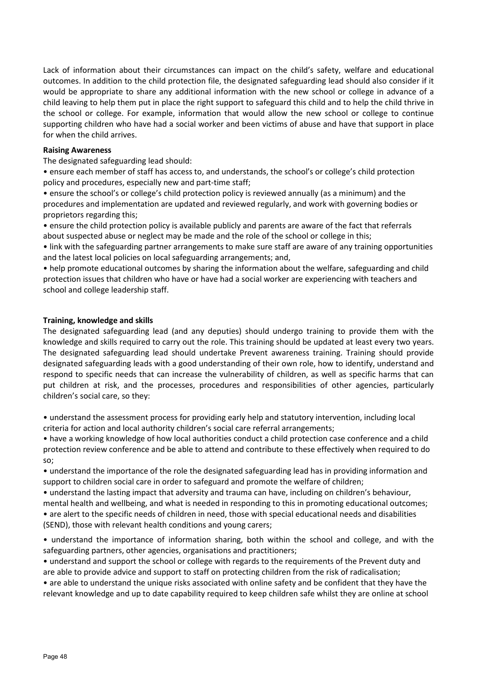Lack of information about their circumstances can impact on the child's safety, welfare and educational outcomes. In addition to the child protection file, the designated safeguarding lead should also consider if it would be appropriate to share any additional information with the new school or college in advance of a child leaving to help them put in place the right support to safeguard this child and to help the child thrive in the school or college. For example, information that would allow the new school or college to continue supporting children who have had a social worker and been victims of abuse and have that support in place for when the child arrives.

## **Raising Awareness**

The designated safeguarding lead should:

• ensure each member of staff has access to, and understands, the school's or college's child protection policy and procedures, especially new and part-time staff;

• ensure the school's or college's child protection policy is reviewed annually (as a minimum) and the procedures and implementation are updated and reviewed regularly, and work with governing bodies or proprietors regarding this;

• ensure the child protection policy is available publicly and parents are aware of the fact that referrals about suspected abuse or neglect may be made and the role of the school or college in this;

• link with the safeguarding partner arrangements to make sure staff are aware of any training opportunities and the latest local policies on local safeguarding arrangements; and,

• help promote educational outcomes by sharing the information about the welfare, safeguarding and child protection issues that children who have or have had a social worker are experiencing with teachers and school and college leadership staff.

## **Training, knowledge and skills**

The designated safeguarding lead (and any deputies) should undergo training to provide them with the knowledge and skills required to carry out the role. This training should be updated at least every two years. The designated safeguarding lead should undertake Prevent awareness training. Training should provide designated safeguarding leads with a good understanding of their own role, how to identify, understand and respond to specific needs that can increase the vulnerability of children, as well as specific harms that can put children at risk, and the processes, procedures and responsibilities of other agencies, particularly children's social care, so they:

• understand the assessment process for providing early help and statutory intervention, including local criteria for action and local authority children's social care referral arrangements;

• have a working knowledge of how local authorities conduct a child protection case conference and a child protection review conference and be able to attend and contribute to these effectively when required to do so;

• understand the importance of the role the designated safeguarding lead has in providing information and support to children social care in order to safeguard and promote the welfare of children;

• understand the lasting impact that adversity and trauma can have, including on children's behaviour,

mental health and wellbeing, and what is needed in responding to this in promoting educational outcomes; • are alert to the specific needs of children in need, those with special educational needs and disabilities (SEND), those with relevant health conditions and young carers;

• understand the importance of information sharing, both within the school and college, and with the safeguarding partners, other agencies, organisations and practitioners;

• understand and support the school or college with regards to the requirements of the Prevent duty and are able to provide advice and support to staff on protecting children from the risk of radicalisation;

• are able to understand the unique risks associated with online safety and be confident that they have the relevant knowledge and up to date capability required to keep children safe whilst they are online at school